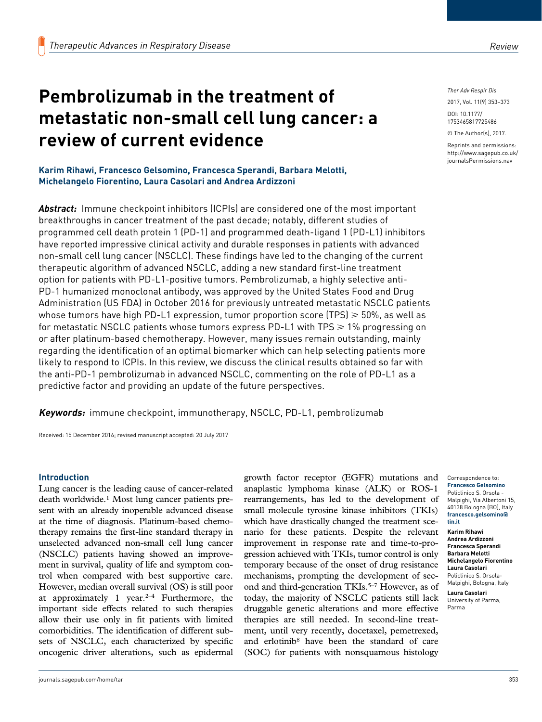# **Pembrolizumab in the treatment of metastatic non-small cell lung cancer: a review of current evidence**

**Karim Rihawi, Francesco Gelsomino, Francesca Sperandi, Barbara Melotti, Michelangelo Fiorentino, Laura Casolari and Andrea Ardizzoni**

*Abstract:* Immune checkpoint inhibitors (ICPIs) are considered one of the most important breakthroughs in cancer treatment of the past decade; notably, different studies of programmed cell death protein 1 (PD-1) and programmed death-ligand 1 (PD-L1) inhibitors have reported impressive clinical activity and durable responses in patients with advanced non-small cell lung cancer (NSCLC). These findings have led to the changing of the current therapeutic algorithm of advanced NSCLC, adding a new standard first-line treatment option for patients with PD-L1-positive tumors. Pembrolizumab, a highly selective anti-PD-1 humanized monoclonal antibody, was approved by the United States Food and Drug Administration (US FDA) in October 2016 for previously untreated metastatic NSCLC patients whose tumors have high PD-L1 expression, tumor proportion score (TPS)  $\geq 50\%$ , as well as for metastatic NSCLC patients whose tumors express PD-L1 with TPS  $\geq 1\%$  progressing on or after platinum-based chemotherapy. However, many issues remain outstanding, mainly regarding the identification of an optimal biomarker which can help selecting patients more likely to respond to ICPIs. In this review, we discuss the clinical results obtained so far with the anti-PD-1 pembrolizumab in advanced NSCLC, commenting on the role of PD-L1 as a predictive factor and providing an update of the future perspectives.

**Keywords:** immune checkpoint, immunotherapy, NSCLC, PD-L1, pembrolizumab

Received: 15 December 2016; revised manuscript accepted: 20 July 2017

## **Introduction**

Lung cancer is the leading cause of cancer-related death worldwide.1 Most lung cancer patients present with an already inoperable advanced disease at the time of diagnosis. Platinum-based chemotherapy remains the first-line standard therapy in unselected advanced non-small cell lung cancer (NSCLC) patients having showed an improvement in survival, quality of life and symptom control when compared with best supportive care. However, median overall survival (OS) is still poor at approximately 1 year. $2-4$  Furthermore, the important side effects related to such therapies allow their use only in fit patients with limited comorbidities. The identification of different subsets of NSCLC, each characterized by specific oncogenic driver alterations, such as epidermal

growth factor receptor (EGFR) mutations and anaplastic lymphoma kinase (ALK) or ROS-1 rearrangements, has led to the development of small molecule tyrosine kinase inhibitors (TKIs) which have drastically changed the treatment scenario for these patients. Despite the relevant improvement in response rate and time-to-progression achieved with TKIs, tumor control is only temporary because of the onset of drug resistance mechanisms, prompting the development of second and third-generation TKIs.<sup>5–7</sup> However, as of today, the majority of NSCLC patients still lack druggable genetic alterations and more effective therapies are still needed. In second-line treatment, until very recently, docetaxel, pemetrexed, and erlotinib8 have been the standard of care (SOC) for patients with nonsquamous histology

*Ther Adv Respir Dis*

DOI: 10.1177/ 2017, Vol. 11(9) 353–373

1753465817725486

© The Author(s), 2017.

Reprints and permissions: [http://www.sagepub.co.uk/](https://uk.sagepub.com/en-gb/journals-permissions) [journalsPermissions.nav](https://uk.sagepub.com/en-gb/journals-permissions)

**Karim Rihawi Andrea Ardizzoni Francesca Sperandi Barbara Melotti Michelangelo Fiorentino Laura Casolari** Policlinico S. Orsola-Malpighi, Bologna, Italy

**Laura Casolari** University of Parma, Parma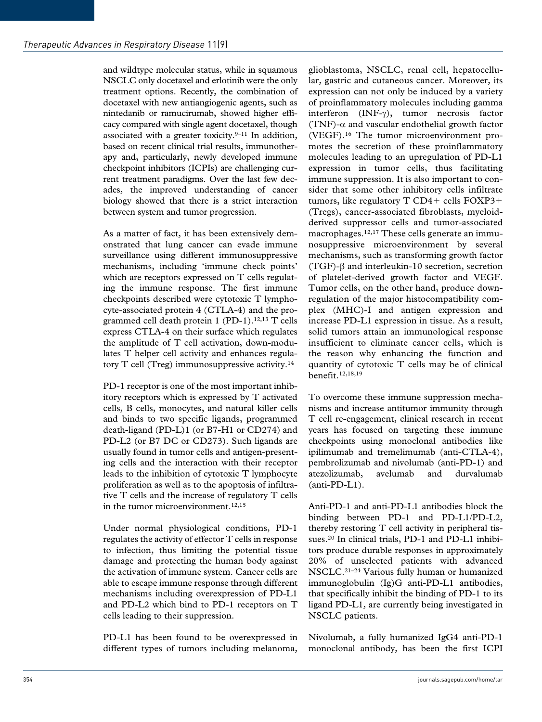and wildtype molecular status, while in squamous NSCLC only docetaxel and erlotinib were the only treatment options. Recently, the combination of docetaxel with new antiangiogenic agents, such as nintedanib or ramucirumab, showed higher efficacy compared with single agent docetaxel, though associated with a greater toxicity. $9-11$  In addition, based on recent clinical trial results, immunotherapy and, particularly, newly developed immune checkpoint inhibitors (ICPIs) are challenging current treatment paradigms. Over the last few decades, the improved understanding of cancer biology showed that there is a strict interaction between system and tumor progression.

As a matter of fact, it has been extensively demonstrated that lung cancer can evade immune surveillance using different immunosuppressive mechanisms, including 'immune check points' which are receptors expressed on T cells regulating the immune response. The first immune checkpoints described were cytotoxic T lymphocyte-associated protein 4 (CTLA-4) and the programmed cell death protein  $1$  (PD-1).<sup>12,13</sup> T cells express CTLA-4 on their surface which regulates the amplitude of T cell activation, down-modulates T helper cell activity and enhances regulatory  $T$  cell (Treg) immunosuppressive activity.<sup>14</sup>

PD-1 receptor is one of the most important inhibitory receptors which is expressed by T activated cells, B cells, monocytes, and natural killer cells and binds to two specific ligands, programmed death-ligand (PD-L)1 (or B7-H1 or CD274) and PD-L2 (or B7 DC or CD273). Such ligands are usually found in tumor cells and antigen-presenting cells and the interaction with their receptor leads to the inhibition of cytotoxic T lymphocyte proliferation as well as to the apoptosis of infiltrative T cells and the increase of regulatory T cells in the tumor microenvironment.<sup>12,15</sup>

Under normal physiological conditions, PD-1 regulates the activity of effector T cells in response to infection, thus limiting the potential tissue damage and protecting the human body against the activation of immune system. Cancer cells are able to escape immune response through different mechanisms including overexpression of PD-L1 and PD-L2 which bind to PD-1 receptors on T cells leading to their suppression.

PD-L1 has been found to be overexpressed in different types of tumors including melanoma,

glioblastoma, NSCLC, renal cell, hepatocellular, gastric and cutaneous cancer. Moreover, its expression can not only be induced by a variety of proinflammatory molecules including gamma interferon (INF-γ), tumor necrosis factor (TNF)- $\alpha$  and vascular endothelial growth factor (VEGF).16 The tumor microenvironment promotes the secretion of these proinflammatory molecules leading to an upregulation of PD-L1 expression in tumor cells, thus facilitating immune suppression. It is also important to consider that some other inhibitory cells infiltrate tumors, like regulatory T CD4+ cells FOXP3+ (Tregs), cancer-associated fibroblasts, myeloidderived suppressor cells and tumor-associated macrophages.12,17 These cells generate an immunosuppressive microenvironment by several mechanisms, such as transforming growth factor (TGF)-β and interleukin-10 secretion, secretion of platelet-derived growth factor and VEGF. Tumor cells, on the other hand, produce downregulation of the major histocompatibility complex (MHC)-I and antigen expression and increase PD-L1 expression in tissue. As a result, solid tumors attain an immunological response insufficient to eliminate cancer cells, which is the reason why enhancing the function and quantity of cytotoxic T cells may be of clinical benefit.12,18,19

To overcome these immune suppression mechanisms and increase antitumor immunity through T cell re-engagement, clinical research in recent years has focused on targeting these immune checkpoints using monoclonal antibodies like ipilimumab and tremelimumab (anti-CTLA-4), pembrolizumab and nivolumab (anti-PD-1) and atezolizumab, avelumab and durvalumab (anti-PD-L1).

Anti-PD-1 and anti-PD-L1 antibodies block the binding between PD-1 and PD-L1/PD-L2, thereby restoring T cell activity in peripheral tissues.<sup>20</sup> In clinical trials, PD-1 and PD-L1 inhibitors produce durable responses in approximately 20% of unselected patients with advanced NSCLC.21–24 Various fully human or humanized immunoglobulin (Ig)G anti-PD-L1 antibodies, that specifically inhibit the binding of PD-1 to its ligand PD-L1, are currently being investigated in NSCLC patients.

Nivolumab, a fully humanized IgG4 anti-PD-1 monoclonal antibody, has been the first ICPI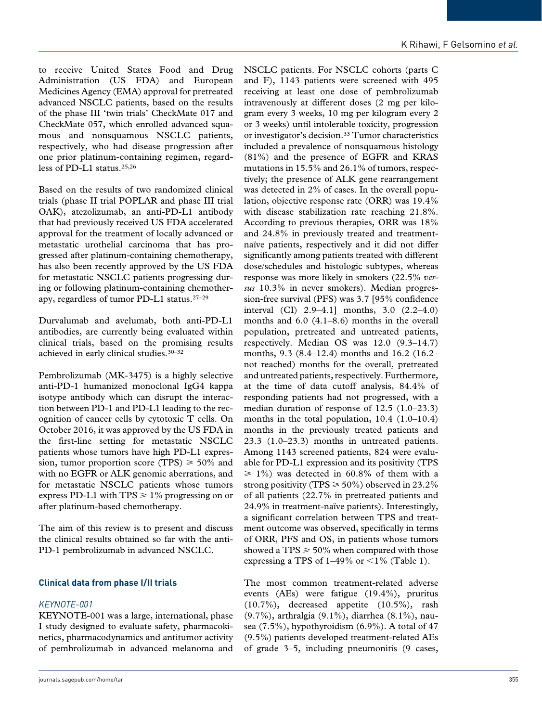to receive United States Food and Drug Administration (US FDA) and European Medicines Agency (EMA) approval for pretreated advanced NSCLC patients, based on the results of the phase III 'twin trials' CheckMate 017 and CheckMate 057, which enrolled advanced squamous and nonsquamous NSCLC patients, respectively, who had disease progression after one prior platinum-containing regimen, regardless of PD-L1 status.<sup>25,26</sup>

Based on the results of two randomized clinical trials (phase II trial POPLAR and phase III trial OAK), atezolizumab, an anti-PD-L1 antibody that had previously received US FDA accelerated approval for the treatment of locally advanced or metastatic urothelial carcinoma that has progressed after platinum-containing chemotherapy, has also been recently approved by the US FDA for metastatic NSCLC patients progressing during or following platinum-containing chemotherapy, regardless of tumor PD-L1 status.27–29

Durvalumab and avelumab, both anti-PD-L1 antibodies, are currently being evaluated within clinical trials, based on the promising results achieved in early clinical studies.30–32

Pembrolizumab (MK-3475) is a highly selective anti-PD-1 humanized monoclonal IgG4 kappa isotype antibody which can disrupt the interaction between PD-1 and PD-L1 leading to the recognition of cancer cells by cytotoxic T cells. On October 2016, it was approved by the US FDA in the first-line setting for metastatic NSCLC patients whose tumors have high PD-L1 expression, tumor proportion score (TPS)  $\geq 50\%$  and with no EGFR or ALK genomic aberrations, and for metastatic NSCLC patients whose tumors express PD-L1 with TPS  $\geq 1\%$  progressing on or after platinum-based chemotherapy.

The aim of this review is to present and discuss the clinical results obtained so far with the anti-PD-1 pembrolizumab in advanced NSCLC.

## **Clinical data from phase I/II trials**

#### *KEYNOTE-001*

KEYNOTE-001 was a large, international, phase I study designed to evaluate safety, pharmacokinetics, pharmacodynamics and antitumor activity of pembrolizumab in advanced melanoma and NSCLC patients. For NSCLC cohorts (parts C and F), 1143 patients were screened with 495 receiving at least one dose of pembrolizumab intravenously at different doses (2 mg per kilogram every 3 weeks, 10 mg per kilogram every 2 or 3 weeks) until intolerable toxicity, progression or investigator's decision.<sup>33</sup> Tumor characteristics included a prevalence of nonsquamous histology (81%) and the presence of EGFR and KRAS mutations in 15.5% and 26.1% of tumors, respectively; the presence of ALK gene rearrangement was detected in 2% of cases. In the overall population, objective response rate (ORR) was 19.4% with disease stabilization rate reaching 21.8%. According to previous therapies, ORR was 18% and 24.8% in previously treated and treatmentnaïve patients, respectively and it did not differ significantly among patients treated with different dose/schedules and histologic subtypes, whereas response was more likely in smokers (22.5% *versus* 10.3% in never smokers). Median progression-free survival (PFS) was 3.7 [95% confidence interval (CI) 2.9–4.1] months, 3.0 (2.2–4.0) months and 6.0 (4.1–8.6) months in the overall population, pretreated and untreated patients, respectively. Median OS was 12.0 (9.3–14.7) months, 9.3 (8.4–12.4) months and 16.2 (16.2– not reached) months for the overall, pretreated and untreated patients, respectively. Furthermore, at the time of data cutoff analysis, 84.4% of responding patients had not progressed, with a median duration of response of 12.5 (1.0–23.3) months in the total population, 10.4 (1.0–10.4) months in the previously treated patients and 23.3 (1.0–23.3) months in untreated patients. Among 1143 screened patients, 824 were evaluable for PD-L1 expression and its positivity (TPS  $\geq 1\%$ ) was detected in 60.8% of them with a strong positivity (TPS  $\geq 50\%$ ) observed in 23.2% of all patients (22.7% in pretreated patients and 24.9% in treatment-naïve patients). Interestingly, a significant correlation between TPS and treatment outcome was observed, specifically in terms of ORR, PFS and OS, in patients whose tumors showed a TPS  $\geq$  50% when compared with those expressing a TPS of  $1-49\%$  or  $\leq 1\%$  (Table 1).

The most common treatment-related adverse events (AEs) were fatigue (19.4%), pruritus (10.7%), decreased appetite (10.5%), rash (9.7%), arthralgia (9.1%), diarrhea (8.1%), nausea (7.5%), hypothyroidism (6.9%). A total of 47 (9.5%) patients developed treatment-related AEs of grade 3–5, including pneumonitis (9 cases,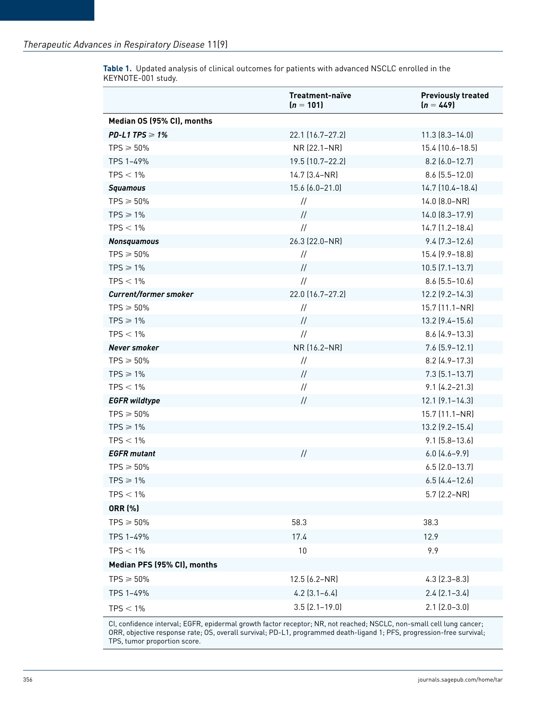|                              | Treatment-naïve<br>$(n = 101)$ | <b>Previously treated</b><br>$(n = 449)$ |
|------------------------------|--------------------------------|------------------------------------------|
| Median OS (95% CI), months   |                                |                                          |
| PD-L1 TPS $\geq 1\%$         | 22.1 (16.7-27.2)               | $11.3 [8.3 - 14.0]$                      |
| $TPS \geqslant 50\%$         | NR (22.1-NR)                   | 15.4 (10.6-18.5)                         |
| TPS 1-49%                    | 19.5 (10.7-22.2)               | $8.2$ (6.0-12.7)                         |
| $TPS < 1\%$                  | 14.7 (3.4-NR)                  | $8.6$ (5.5-12.0)                         |
| <b>Squamous</b>              | 15.6 (6.0-21.0)                | 14.7 (10.4-18.4)                         |
| $TPS \ge 50\%$               | $\frac{1}{2}$                  | $14.0$ $(8.0-NR)$                        |
| $TPS \geq 1\%$               | $\frac{1}{2}$                  | 14.0 (8.3-17.9)                          |
| $TPS < 1\%$                  | $\frac{1}{2}$                  | $14.7$ $(1.2 - 18.4)$                    |
| <b>Nonsquamous</b>           | 26.3 (22.0-NR)                 | $9.4$ (7.3-12.6)                         |
| $TPS \ge 50\%$               | $\frac{1}{2}$                  | 15.4 (9.9-18.8)                          |
| $TPS \geq 1\%$               | $\frac{1}{2}$                  | $10.5$ $(7.1 - 13.7)$                    |
| $TPS < 1\%$                  | $\frac{1}{2}$                  | $8.6$ (5.5-10.6)                         |
| <b>Current/former smoker</b> | 22.0 (16.7-27.2)               | $12.2$ $(9.2 - 14.3)$                    |
| $TPS \ge 50\%$               | $\frac{1}{2}$                  | 15.7 (11.1-NR)                           |
| $TPS \geq 1\%$               | $\frac{1}{2}$                  | 13.2 (9.4-15.6)                          |
| $TPS < 1\%$                  | $\frac{1}{2}$                  | $8.6$ $(4.9 - 13.3)$                     |
| Never smoker                 | NR (16.2-NR)                   | $7.6$ $(5.9 - 12.1)$                     |
| $TPS \geqslant 50\%$         | $\frac{1}{2}$                  | $8.2$ (4.9-17.3)                         |
| $TPS \geq 1\%$               | $\frac{1}{2}$                  | $7.3$ $(5.1 - 13.7)$                     |
| $TPS < 1\%$                  | $\frac{1}{2}$                  | $9.1 [4.2 - 21.3]$                       |
| <b>EGFR</b> wildtype         | $\frac{1}{2}$                  | $12.1$ $(9.1 - 14.3)$                    |
| $TPS \geqslant 50\%$         |                                | 15.7 (11.1-NR)                           |
| $TPS \geq 1\%$               |                                | 13.2 (9.2-15.4)                          |
| $TPS < 1\%$                  |                                | $9.1$ (5.8-13.6)                         |
| <b>EGFR</b> mutant           | $\frac{1}{2}$                  | $6.0$ $(4.6 - 9.9)$                      |
| $TPS \geqslant 50\%$         |                                | $6.5$ $(2.0-13.7)$                       |
| $TPS \geq 1\%$               |                                | $6.5$ $(4.4 - 12.6)$                     |
| $TPS < 1\%$                  |                                | 5.7 (2.2–NR)                             |
| <b>ORR (%)</b>               |                                |                                          |
| $TPS \geqslant 50\%$         | 58.3                           | 38.3                                     |
| TPS 1-49%                    | 17.4                           | 12.9                                     |
| $TPS < 1\%$                  | 10                             | 9.9                                      |
| Median PFS (95% CI), months  |                                |                                          |
| $TPS \geqslant 50\%$         | 12.5 (6.2-NR)                  | $4.3$ $(2.3 - 8.3)$                      |
| TPS 1-49%                    | $4.2$ $(3.1 - 6.4)$            | $2.4$ $(2.1 - 3.4)$                      |
| $TPS < 1\%$                  | $3.5$ $(2.1 - 19.0)$           | $2.1$ $(2.0-3.0)$                        |

**Table 1.** Updated analysis of clinical outcomes for patients with advanced NSCLC enrolled in the KEYNOTE-001 study.

CI, confidence interval; EGFR, epidermal growth factor receptor; NR, not reached; NSCLC, non-small cell lung cancer; ORR, objective response rate; OS, overall survival; PD-L1, programmed death-ligand 1; PFS, progression-free survival; TPS, tumor proportion score.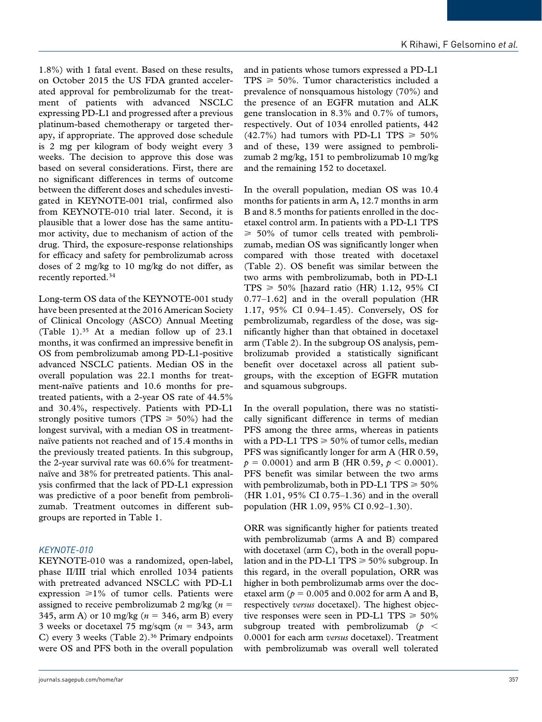1.8%) with 1 fatal event. Based on these results, on October 2015 the US FDA granted accelerated approval for pembrolizumab for the treatment of patients with advanced NSCLC expressing PD-L1 and progressed after a previous platinum-based chemotherapy or targeted therapy, if appropriate. The approved dose schedule is 2 mg per kilogram of body weight every 3 weeks. The decision to approve this dose was based on several considerations. First, there are no significant differences in terms of outcome between the different doses and schedules investigated in KEYNOTE-001 trial, confirmed also from KEYNOTE-010 trial later. Second, it is plausible that a lower dose has the same antitumor activity, due to mechanism of action of the drug. Third, the exposure-response relationships for efficacy and safety for pembrolizumab across doses of 2 mg/kg to 10 mg/kg do not differ, as recently reported.34

Long-term OS data of the KEYNOTE-001 study have been presented at the 2016 American Society of Clinical Oncology (ASCO) Annual Meeting (Table 1).35 At a median follow up of 23.1 months, it was confirmed an impressive benefit in OS from pembrolizumab among PD-L1-positive advanced NSCLC patients. Median OS in the overall population was 22.1 months for treatment-naïve patients and 10.6 months for pretreated patients, with a 2-year OS rate of 44.5% and 30.4%, respectively. Patients with PD-L1 strongly positive tumors (TPS  $\geq 50\%$ ) had the longest survival, with a median OS in treatmentnaïve patients not reached and of 15.4 months in the previously treated patients. In this subgroup, the 2-year survival rate was 60.6% for treatmentnaïve and 38% for pretreated patients. This analysis confirmed that the lack of PD-L1 expression was predictive of a poor benefit from pembrolizumab. Treatment outcomes in different subgroups are reported in Table 1.

## *KEYNOTE-010*

KEYNOTE-010 was a randomized, open-label, phase II/III trial which enrolled 1034 patients with pretreated advanced NSCLC with PD-L1 expression  $\geq 1\%$  of tumor cells. Patients were assigned to receive pembrolizumab 2 mg/kg (*n* = 345, arm A) or 10 mg/kg (*n* = 346, arm B) every 3 weeks or docetaxel 75 mg/sqm  $(n = 343, \text{ arm})$ C) every 3 weeks (Table 2).<sup>36</sup> Primary endpoints were OS and PFS both in the overall population and in patients whose tumors expressed a PD-L1  $TPS \geq 50\%$ . Tumor characteristics included a prevalence of nonsquamous histology (70%) and the presence of an EGFR mutation and ALK gene translocation in 8.3% and 0.7% of tumors, respectively. Out of 1034 enrolled patients, 442  $(42.7\%)$  had tumors with PD-L1 TPS  $\geq 50\%$ and of these, 139 were assigned to pembrolizumab 2 mg/kg, 151 to pembrolizumab 10 mg/kg and the remaining 152 to docetaxel.

In the overall population, median OS was 10.4 months for patients in arm A, 12.7 months in arm B and 8.5 months for patients enrolled in the docetaxel control arm. In patients with a PD-L1 TPS  $\geq 50\%$  of tumor cells treated with pembrolizumab, median OS was significantly longer when compared with those treated with docetaxel (Table 2). OS benefit was similar between the two arms with pembrolizumab, both in PD-L1  $TPS \geq 50\%$  [hazard ratio (HR) 1.12, 95% CI 0.77–1.62] and in the overall population (HR 1.17, 95% CI 0.94–1.45). Conversely, OS for pembrolizumab, regardless of the dose, was significantly higher than that obtained in docetaxel arm (Table 2). In the subgroup OS analysis, pembrolizumab provided a statistically significant benefit over docetaxel across all patient subgroups, with the exception of EGFR mutation and squamous subgroups.

In the overall population, there was no statistically significant difference in terms of median PFS among the three arms, whereas in patients with a PD-L1 TPS  $\geq 50\%$  of tumor cells, median PFS was significantly longer for arm A (HR 0.59,  $p = 0.0001$  and arm B (HR 0.59,  $p < 0.0001$ ). PFS benefit was similar between the two arms with pembrolizumab, both in PD-L1 TPS  $\geq 50\%$ (HR 1.01, 95% CI 0.75–1.36) and in the overall population (HR 1.09, 95% CI 0.92–1.30).

ORR was significantly higher for patients treated with pembrolizumab (arms A and B) compared with docetaxel (arm C), both in the overall population and in the PD-L1 TPS  $\geq 50\%$  subgroup. In this regard, in the overall population, ORR was higher in both pembrolizumab arms over the docetaxel arm ( $p = 0.005$  and 0.002 for arm A and B, respectively *versus* docetaxel). The highest objective responses were seen in PD-L1 TPS  $\geq 50\%$ subgroup treated with pembrolizumab (*p* < 0.0001 for each arm *versus* docetaxel). Treatment with pembrolizumab was overall well tolerated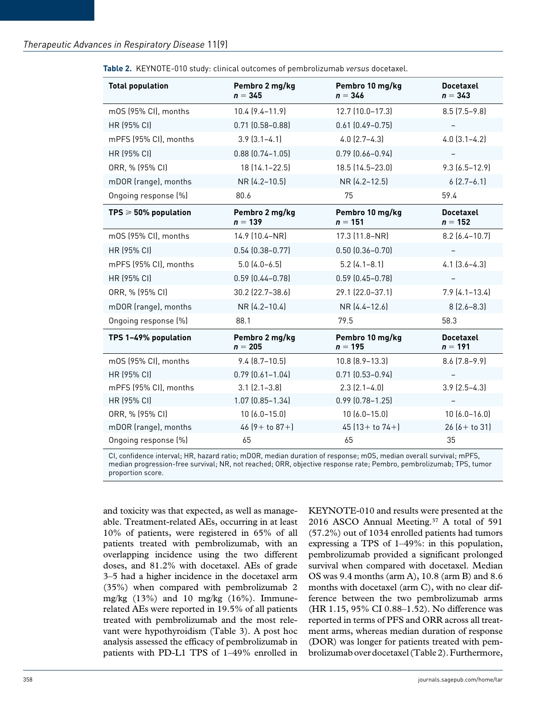| <b>Total population</b>         | Pembro 2 mg/kg<br>$n = 345$ | Pembro 10 mg/kg<br>$n = 346$ | <b>Docetaxel</b><br>$n = 343$ |
|---------------------------------|-----------------------------|------------------------------|-------------------------------|
| mOS (95% CI), months            | $10.4(9.4 - 11.9)$          | $12.7$ (10.0-17.3)           | $8.5$ (7.5-9.8)               |
| HR (95% CI)                     | $0.71$ $(0.58 - 0.88)$      | $0.61$ $(0.49 - 0.75)$       |                               |
| mPFS (95% CI), months           | $3.9$ $(3.1 - 4.1)$         | $4.0$ $(2.7-4.3)$            | $4.0$ $(3.1-4.2)$             |
| HR (95% CI)                     | $0.88$ $(0.74 - 1.05)$      | $0.79$ $(0.66 - 0.94)$       |                               |
| ORR, % (95% CI)                 | 18 (14.1-22.5)              | 18.5 (14.5-23.0)             | $9.3[6.5-12.9]$               |
| mDOR (range), months            | NR (4.2-10.5)               | NR (4.2-12.5)                | $6(2.7-6.1)$                  |
| Ongoing response (%)            | 80.6                        | 75                           | 59.4                          |
| $TPS \geqslant 50\%$ population | Pembro 2 mg/kg<br>$n = 139$ | Pembro 10 mg/kg<br>$n = 151$ | <b>Docetaxel</b><br>$n = 152$ |
| mOS (95% CI), months            | 14.9 (10.4-NR)              | 17.3 (11.8–NR)               | $8.2$ (6.4-10.7)              |
| <b>HR (95% CI)</b>              | $0.54(0.38 - 0.77)$         | $0.50$ $(0.36 - 0.70)$       |                               |
| mPFS (95% CI), months           | $5.0$ $(4.0 - 6.5)$         | $5.2$ (4.1-8.1)              | $4.1$ $(3.6 - 4.3)$           |
| <b>HR (95% CI)</b>              | $0.59$ $(0.44 - 0.78)$      | $0.59$ $(0.45 - 0.78)$       |                               |
| ORR, % (95% CI)                 | 30.2 (22.7-38.6)            | 29.1 (22.0-37.1)             | $7.9(4.1 - 13.4)$             |
| mDOR (range), months            | NR (4.2-10.4)               | NR (4.4-12.6)                | $8(2.6 - 8.3)$                |
| Ongoing response (%)            | 88.1                        | 79.5                         | 58.3                          |
| TPS 1-49% population            | Pembro 2 mg/kg<br>$n = 205$ | Pembro 10 mg/kg<br>$n = 195$ | <b>Docetaxel</b><br>$n = 191$ |
| mOS (95% CI), months            | $9.4(8.7-10.5)$             | $10.8$ $(8.9 - 13.3)$        | $8.6$ $(7.8-9.9)$             |
| <b>HR (95% CI)</b>              | $0.79$ $(0.61 - 1.04)$      | $0.71$ $(0.53 - 0.94)$       |                               |
| mPFS (95% CI), months           | $3.1$ $(2.1 - 3.8)$         | $2.3$ $(2.1-4.0)$            | $3.9$ $(2.5-4.3)$             |
| <b>HR (95% CI)</b>              | $1.07$ $(0.85 - 1.34)$      | $0.99$ $(0.78 - 1.25)$       |                               |
| ORR, % (95% CI)                 | $10(6.0 - 15.0)$            | $10(6.0 - 15.0)$             | $10(6.0 - 16.0)$              |
| mDOR (range), months            | $46(9 + to 87 +)$           | 45 $(13 +$ to $74 +$ ]       | $26(6 + to 31)$               |
| Ongoing response (%)            | 65                          | 65                           | 35                            |

**Table 2.** KEYNOTE-010 study: clinical outcomes of pembrolizumab *versus* docetaxel.

CI, confidence interval; HR, hazard ratio; mDOR, median duration of response; mOS, median overall survival; mPFS, median progression-free survival; NR, not reached; ORR, objective response rate; Pembro, pembrolizumab; TPS, tumor proportion score.

and toxicity was that expected, as well as manageable. Treatment-related AEs, occurring in at least 10% of patients, were registered in 65% of all patients treated with pembrolizumab, with an overlapping incidence using the two different doses, and 81.2% with docetaxel. AEs of grade 3–5 had a higher incidence in the docetaxel arm (35%) when compared with pembrolizumab 2 mg/kg (13%) and 10 mg/kg (16%). Immunerelated AEs were reported in 19.5% of all patients treated with pembrolizumab and the most relevant were hypothyroidism (Table 3). A post hoc analysis assessed the efficacy of pembrolizumab in patients with PD-L1 TPS of 1–49% enrolled in

KEYNOTE-010 and results were presented at the 2016 ASCO Annual Meeting.37 A total of 591 (57.2%) out of 1034 enrolled patients had tumors expressing a TPS of 1–49%: in this population, pembrolizumab provided a significant prolonged survival when compared with docetaxel. Median OS was 9.4 months (arm A), 10.8 (arm B) and 8.6 months with docetaxel (arm C), with no clear difference between the two pembrolizumab arms (HR 1.15, 95% CI 0.88–1.52). No difference was reported in terms of PFS and ORR across all treatment arms, whereas median duration of response (DOR) was longer for patients treated with pembrolizumab over docetaxel (Table 2). Furthermore,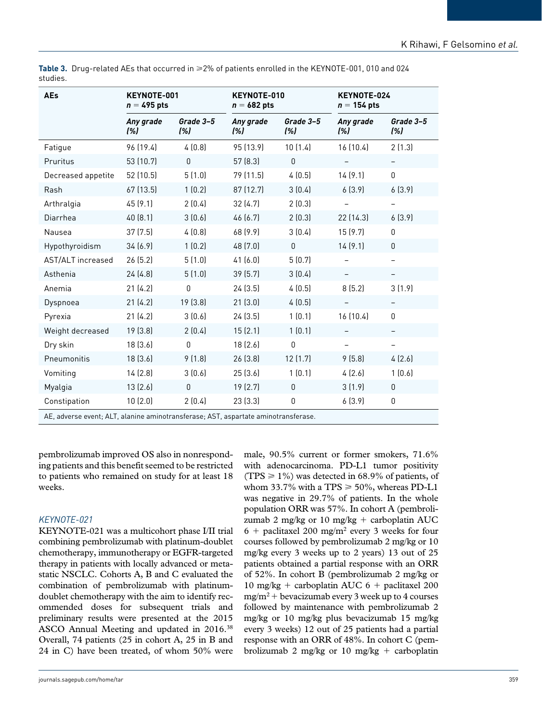| AEs                                                                            | KEYNOTE-001<br>$n = 495$ pts |                  | KEYNOTE-010<br>$n = 682$ pts |                  | KEYNOTE-024<br>$n = 154$ pts |                          |
|--------------------------------------------------------------------------------|------------------------------|------------------|------------------------------|------------------|------------------------------|--------------------------|
|                                                                                | Any grade<br>(%)             | Grade 3-5<br>(%) | Any grade<br>(%)             | Grade 3-5<br>(%) | Any grade<br>(%)             | Grade 3-5<br>(%)         |
| Fatigue                                                                        | 96 (19.4)                    | 4(0.8)           | 95 (13.9)                    | 10(1.4)          | 16 (10.4)                    | 2(1.3)                   |
| Pruritus                                                                       | 53 (10.7)                    | $\mathbf 0$      | 57 (8.3)                     | $\mathsf 0$      |                              |                          |
| Decreased appetite                                                             | 52 (10.5)                    | 5(1.0)           | 79 (11.5)                    | 4(0.5)           | 14(9.1)                      | $\mathbf 0$              |
| Rash                                                                           | 67 (13.5)                    | 1(0.2)           | 87 (12.7)                    | 3(0.4)           | 6(3.9)                       | 6(3.9)                   |
| Arthralgia                                                                     | 45 (9.1)                     | 2(0.4)           | 32(4.7)                      | 2(0.3)           |                              |                          |
| Diarrhea                                                                       | 40 (8.1)                     | 3(0.6)           | 46 (6.7)                     | 2(0.3)           | 22 (14.3)                    | 6(3.9)                   |
| Nausea                                                                         | 37 (7.5)                     | 4(0.8)           | 68 (9.9)                     | 3(0.4)           | 15(9.7)                      | $\pmb{0}$                |
| Hypothyroidism                                                                 | 34(6.9)                      | 1(0.2)           | 48 (7.0)                     | $\Omega$         | 14(9.1)                      | $\mathbf 0$              |
| AST/ALT increased                                                              | 26(5.2)                      | 5(1.0)           | 41(6.0)                      | 5(0.7)           |                              | $\overline{\phantom{0}}$ |
| Asthenia                                                                       | 24 (4.8)                     | 5(1.0)           | 39 (5.7)                     | 3(0.4)           | $\overline{\phantom{0}}$     | $\overline{\phantom{0}}$ |
| Anemia                                                                         | 21(4.2)                      | 0                | 24(3.5)                      | 4(0.5)           | 8(5.2)                       | 3(1.9)                   |
| Dyspnoea                                                                       | 21(4.2)                      | 19 (3.8)         | 21(3.0)                      | 4(0.5)           |                              |                          |
| Pyrexia                                                                        | 21(4.2)                      | 3(0.6)           | 24(3.5)                      | 1(0.1)           | 16 (10.4)                    | $\mathbf 0$              |
| Weight decreased                                                               | 19 (3.8)                     | 2(0.4)           | 15(2.1)                      | 1(0.1)           |                              | $\overline{\phantom{0}}$ |
| Dry skin                                                                       | 18(3.6)                      | $\mathbf{0}$     | 18(2.6)                      | $\mathbf{0}$     |                              |                          |
| Pneumonitis                                                                    | 18(3.6)                      | 9(1.8)           | 26(3.8)                      | 12(1.7)          | 9(5.8)                       | 4(2.6)                   |
| Vomiting                                                                       | 14 (2.8)                     | 3(0.6)           | 25(3.6)                      | 1(0.1)           | 4(2.6)                       | 1(0.6)                   |
| Myalgia                                                                        | 13(2.6)                      | $\mathbf{0}$     | 19(2.7)                      | $\mathbf 0$      | 3(1.9)                       | $\mathsf 0$              |
| Constipation                                                                   | 10(2.0)                      | 2(0.4)           | 23(3.3)                      | $\boldsymbol{0}$ | 6(3.9)                       | $\mathbf 0$              |
| AF adverse event: ALT alapine aminetransferase: AST aspartate aminetransferase |                              |                  |                              |                  |                              |                          |

Table 3. Drug-related AEs that occurred in ≥2% of patients enrolled in the KEYNOTE-001, 010 and 024 studies.

AE, adverse event; ALT, alanine aminotransferase; AST, aspartate aminotransferase.

pembrolizumab improved OS also in nonresponding patients and this benefit seemed to be restricted to patients who remained on study for at least 18 weeks.

## *KEYNOTE-021*

KEYNOTE-021 was a multicohort phase I/II trial combining pembrolizumab with platinum-doublet chemotherapy, immunotherapy or EGFR-targeted therapy in patients with locally advanced or metastatic NSCLC. Cohorts A, B and C evaluated the combination of pembrolizumab with platinumdoublet chemotherapy with the aim to identify recommended doses for subsequent trials and preliminary results were presented at the 2015 ASCO Annual Meeting and updated in 2016.38 Overall, 74 patients (25 in cohort A, 25 in B and 24 in C) have been treated, of whom 50% were

male, 90.5% current or former smokers, 71.6% with adenocarcinoma. PD-L1 tumor positivity (TPS  $\geq$  1%) was detected in 68.9% of patients, of whom 33.7% with a TPS  $\geq$  50%, whereas PD-L1 was negative in 29.7% of patients. In the whole population ORR was 57%. In cohort A (pembrolizumab 2 mg/kg or 10 mg/kg + carboplatin AUC 6 + paclitaxel 200 mg/m2 every 3 weeks for four courses followed by pembrolizumab 2 mg/kg or 10 mg/kg every 3 weeks up to 2 years) 13 out of 25 patients obtained a partial response with an ORR of 52%. In cohort B (pembrolizumab 2 mg/kg or 10 mg/kg + carboplatin AUC  $6 +$  paclitaxel 200  $mg/m^2$  + bevacizumab every 3 week up to 4 courses followed by maintenance with pembrolizumab 2 mg/kg or 10 mg/kg plus bevacizumab 15 mg/kg every 3 weeks) 12 out of 25 patients had a partial response with an ORR of 48%. In cohort C (pembrolizumab 2 mg/kg or 10 mg/kg + carboplatin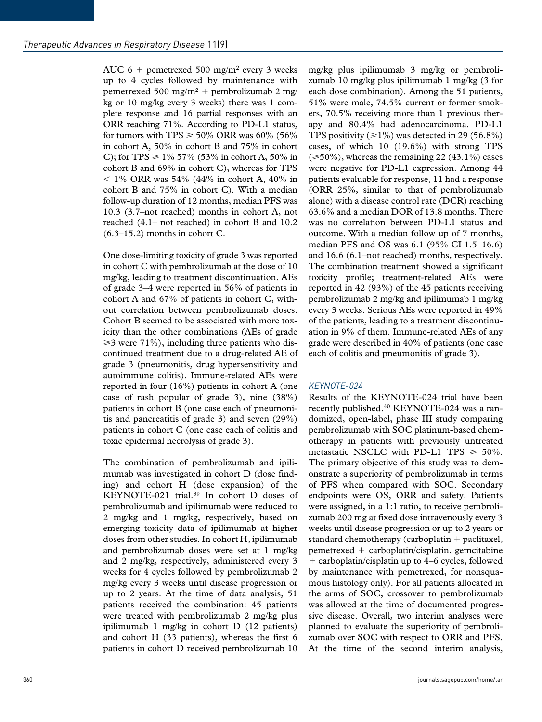AUC  $6 +$  pemetrexed 500 mg/m<sup>2</sup> every 3 weeks up to 4 cycles followed by maintenance with pemetrexed 500 mg/m2 + pembrolizumab 2 mg/ kg or 10 mg/kg every 3 weeks) there was 1 complete response and 16 partial responses with an ORR reaching 71%. According to PD-L1 status, for tumors with TPS  $\geq 50\%$  ORR was 60% (56% in cohort A, 50% in cohort B and 75% in cohort C); for TPS  $\geq 1\%$  57% (53% in cohort A, 50% in cohort B and 69% in cohort C), whereas for TPS  $<$  1% ORR was 54% (44% in cohort A, 40% in cohort B and 75% in cohort C). With a median follow-up duration of 12 months, median PFS was 10.3 (3.7–not reached) months in cohort A, not reached (4.1– not reached) in cohort B and 10.2  $(6.3-15.2)$  months in cohort C.

One dose-limiting toxicity of grade 3 was reported in cohort C with pembrolizumab at the dose of 10 mg/kg, leading to treatment discontinuation. AEs of grade 3–4 were reported in 56% of patients in cohort A and 67% of patients in cohort C, without correlation between pembrolizumab doses. Cohort B seemed to be associated with more toxicity than the other combinations (AEs of grade  $\geq$  3 were 71%), including three patients who discontinued treatment due to a drug-related AE of grade 3 (pneumonitis, drug hypersensitivity and autoimmune colitis). Immune-related AEs were reported in four (16%) patients in cohort A (one case of rash popular of grade 3), nine (38%) patients in cohort B (one case each of pneumonitis and pancreatitis of grade 3) and seven (29%) patients in cohort C (one case each of colitis and toxic epidermal necrolysis of grade 3).

The combination of pembrolizumab and ipilimumab was investigated in cohort D (dose finding) and cohort H (dose expansion) of the KEYNOTE-021 trial.39 In cohort D doses of pembrolizumab and ipilimumab were reduced to 2 mg/kg and 1 mg/kg, respectively, based on emerging toxicity data of ipilimumab at higher doses from other studies. In cohort H, ipilimumab and pembrolizumab doses were set at 1 mg/kg and 2 mg/kg, respectively, administered every 3 weeks for 4 cycles followed by pembrolizumab 2 mg/kg every 3 weeks until disease progression or up to 2 years. At the time of data analysis, 51 patients received the combination: 45 patients were treated with pembrolizumab 2 mg/kg plus ipilimumab 1 mg/kg in cohort D (12 patients) and cohort H (33 patients), whereas the first 6 patients in cohort D received pembrolizumab 10

mg/kg plus ipilimumab 3 mg/kg or pembrolizumab 10 mg/kg plus ipilimumab 1 mg/kg (3 for each dose combination). Among the 51 patients, 51% were male, 74.5% current or former smokers, 70.5% receiving more than 1 previous therapy and 80.4% had adenocarcinoma. PD-L1 TPS positivity ( $\geq 1\%$ ) was detected in 29 (56.8%) cases, of which 10 (19.6%) with strong TPS  $(\geq 50\%)$ , whereas the remaining 22 (43.1%) cases were negative for PD-L1 expression. Among 44 patients evaluable for response, 11 had a response (ORR 25%, similar to that of pembrolizumab alone) with a disease control rate (DCR) reaching 63.6% and a median DOR of 13.8 months. There was no correlation between PD-L1 status and outcome. With a median follow up of 7 months, median PFS and OS was 6.1 (95% CI 1.5–16.6) and 16.6 (6.1–not reached) months, respectively. The combination treatment showed a significant toxicity profile; treatment-related AEs were reported in 42 (93%) of the 45 patients receiving pembrolizumab 2 mg/kg and ipilimumab 1 mg/kg every 3 weeks. Serious AEs were reported in 49% of the patients, leading to a treatment discontinuation in 9% of them. Immune-related AEs of any grade were described in 40% of patients (one case each of colitis and pneumonitis of grade 3).

## *KEYNOTE-024*

Results of the KEYNOTE-024 trial have been recently published.40 KEYNOTE-024 was a randomized, open-label, phase III study comparing pembrolizumab with SOC platinum-based chemotherapy in patients with previously untreated metastatic NSCLC with PD-L1 TPS  $\geq 50\%$ . The primary objective of this study was to demonstrate a superiority of pembrolizumab in terms of PFS when compared with SOC. Secondary endpoints were OS, ORR and safety. Patients were assigned, in a 1:1 ratio, to receive pembrolizumab 200 mg at fixed dose intravenously every 3 weeks until disease progression or up to 2 years or standard chemotherapy (carboplatin + paclitaxel,  $p$ emetrexed + carboplatin/cisplatin, gemcitabine + carboplatin/cisplatin up to 4–6 cycles, followed by maintenance with pemetrexed, for nonsquamous histology only). For all patients allocated in the arms of SOC, crossover to pembrolizumab was allowed at the time of documented progressive disease. Overall, two interim analyses were planned to evaluate the superiority of pembrolizumab over SOC with respect to ORR and PFS. At the time of the second interim analysis,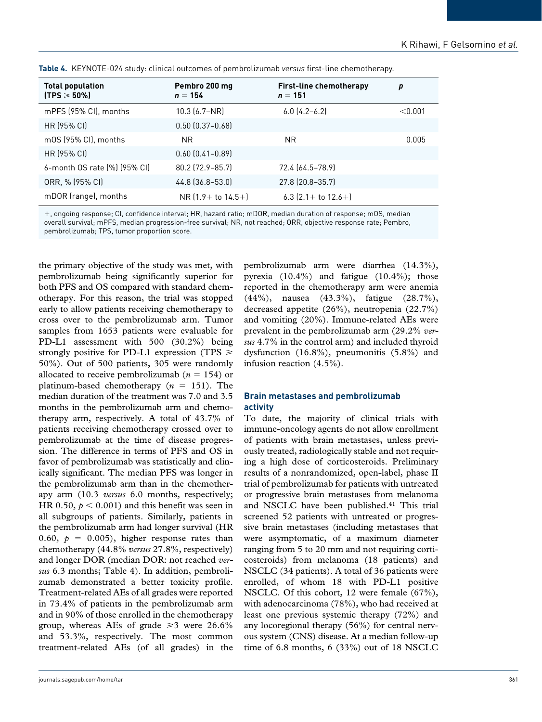| <b>Total population</b><br>$(TPS \geqslant 50\%)$ | Pembro 200 mg<br>$n = 154$ | <b>First-line chemotherapy</b><br>$n = 151$ | p       |
|---------------------------------------------------|----------------------------|---------------------------------------------|---------|
| mPFS (95% CI), months                             | $10.3 (6.7 - NR)$          | $6.0$ $(4.2 - 6.2)$                         | < 0.001 |
| HR (95% CI)                                       | $0.50$ $(0.37 - 0.68)$     |                                             |         |
| mOS (95% CI), months                              | NR.                        | <b>NR</b>                                   | 0.005   |
| HR (95% CI)                                       | $0.60$ $(0.41 - 0.89)$     |                                             |         |
| 6-month OS rate (%) (95% CI)                      | 80.2 (72.9-85.7)           | 72.4 (64.5-78.9)                            |         |
| ORR, % (95% CI)                                   | 44.8 (36.8-53.0)           | 27.8 (20.8-35.7)                            |         |
| mDOR (range), months                              | $NR(1.9 + to 14.5+)$       | 6.3 $(2.1 +$ to $12.6 +$                    |         |

**Table 4.** KEYNOTE-024 study: clinical outcomes of pembrolizumab *versus* first-line chemotherapy.

+, ongoing response; CI, confidence interval; HR, hazard ratio; mDOR, median duration of response; mOS, median overall survival; mPFS, median progression-free survival; NR, not reached; ORR, objective response rate; Pembro, pembrolizumab; TPS, tumor proportion score.

the primary objective of the study was met, with pembrolizumab being significantly superior for both PFS and OS compared with standard chemotherapy. For this reason, the trial was stopped early to allow patients receiving chemotherapy to cross over to the pembrolizumab arm. Tumor samples from 1653 patients were evaluable for PD-L1 assessment with 500 (30.2%) being strongly positive for PD-L1 expression (TPS  $\geq$ 50%). Out of 500 patients, 305 were randomly allocated to receive pembrolizumab (*n* = 154) or platinum-based chemotherapy (*n* = 151). The median duration of the treatment was 7.0 and 3.5 months in the pembrolizumab arm and chemotherapy arm, respectively. A total of 43.7% of patients receiving chemotherapy crossed over to pembrolizumab at the time of disease progression. The difference in terms of PFS and OS in favor of pembrolizumab was statistically and clinically significant. The median PFS was longer in the pembrolizumab arm than in the chemotherapy arm (10.3 *versus* 6.0 months, respectively; HR 0.50,  $p < 0.001$ ) and this benefit was seen in all subgroups of patients. Similarly, patients in the pembrolizumab arm had longer survival (HR 0.60,  $p = 0.005$ ), higher response rates than chemotherapy (44.8% *versus* 27.8%, respectively) and longer DOR (median DOR: not reached *versus* 6.3 months; Table 4). In addition, pembrolizumab demonstrated a better toxicity profile. Treatment-related AEs of all grades were reported in 73.4% of patients in the pembrolizumab arm and in 90% of those enrolled in the chemotherapy group, whereas AEs of grade  $\geq 3$  were 26.6% and 53.3%, respectively. The most common treatment-related AEs (of all grades) in the

pembrolizumab arm were diarrhea (14.3%), pyrexia (10.4%) and fatigue (10.4%); those reported in the chemotherapy arm were anemia (44%), nausea (43.3%), fatigue (28.7%), decreased appetite (26%), neutropenia (22.7%) and vomiting (20%). Immune-related AEs were prevalent in the pembrolizumab arm (29.2% *versus* 4.7% in the control arm) and included thyroid dysfunction (16.8%), pneumonitis (5.8%) and infusion reaction (4.5%).

## **Brain metastases and pembrolizumab activity**

To date, the majority of clinical trials with immune-oncology agents do not allow enrollment of patients with brain metastases, unless previously treated, radiologically stable and not requiring a high dose of corticosteroids. Preliminary results of a nonrandomized, open-label, phase II trial of pembrolizumab for patients with untreated or progressive brain metastases from melanoma and NSCLC have been published.<sup>41</sup> This trial screened 52 patients with untreated or progressive brain metastases (including metastases that were asymptomatic, of a maximum diameter ranging from 5 to 20 mm and not requiring corticosteroids) from melanoma (18 patients) and NSCLC (34 patients). A total of 36 patients were enrolled, of whom 18 with PD-L1 positive NSCLC. Of this cohort, 12 were female (67%), with adenocarcinoma (78%), who had received at least one previous systemic therapy (72%) and any locoregional therapy (56%) for central nervous system (CNS) disease. At a median follow-up time of 6.8 months, 6 (33%) out of 18 NSCLC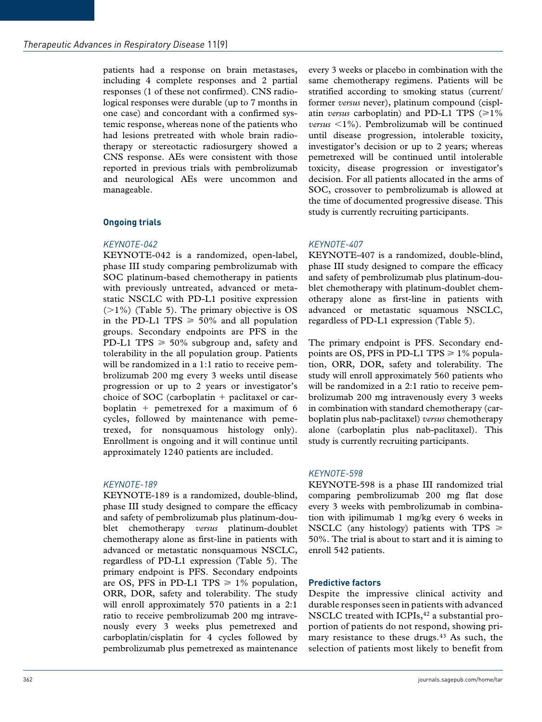patients had a response on brain metastases, including 4 complete responses and 2 partial responses (1 of these not confirmed). CNS radiological responses were durable (up to 7 months in one case) and concordant with a confirmed systemic response, whereas none of the patients who had lesions pretreated with whole brain radiotherapy or stereotactic radiosurgery showed a CNS response. AEs were consistent with those reported in previous trials with pembrolizumab and neurological AEs were uncommon and manageable.

## **Ongoing trials**

#### *KEYNOTE-042*

KEYNOTE-042 is a randomized, open-label, phase III study comparing pembrolizumab with SOC platinum-based chemotherapy in patients with previously untreated, advanced or metastatic NSCLC with PD-L1 positive expression  $(>1\%)$  (Table 5). The primary objective is OS in the PD-L1 TPS  $\geq 50\%$  and all population groups. Secondary endpoints are PFS in the PD-L1 TPS  $\geq 50\%$  subgroup and, safety and tolerability in the all population group. Patients will be randomized in a 1:1 ratio to receive pembrolizumab 200 mg every 3 weeks until disease progression or up to 2 years or investigator's choice of SOC (carboplatin  $+$  paclitaxel or carboplatin + pemetrexed for a maximum of 6 cycles, followed by maintenance with pemetrexed, for nonsquamous histology only). Enrollment is ongoing and it will continue until approximately 1240 patients are included.

#### *KEYNOTE-189*

KEYNOTE-189 is a randomized, double-blind, phase III study designed to compare the efficacy and safety of pembrolizumab plus platinum-doublet chemotherapy *versus* platinum-doublet chemotherapy alone as first-line in patients with advanced or metastatic nonsquamous NSCLC, regardless of PD-L1 expression (Table 5). The primary endpoint is PFS. Secondary endpoints are OS, PFS in PD-L1 TPS  $\geq 1\%$  population, ORR, DOR, safety and tolerability. The study will enroll approximately 570 patients in a 2:1 ratio to receive pembrolizumab 200 mg intravenously every 3 weeks plus pemetrexed and carboplatin/cisplatin for 4 cycles followed by pembrolizumab plus pemetrexed as maintenance

every 3 weeks or placebo in combination with the same chemotherapy regimens. Patients will be stratified according to smoking status (current/ former *versus* never), platinum compound (cisplatin *versus* carboplatin) and PD-L1 TPS  $(\geq 1\%)$ *versus* <1%). Pembrolizumab will be continued until disease progression, intolerable toxicity, investigator's decision or up to 2 years; whereas pemetrexed will be continued until intolerable toxicity, disease progression or investigator's decision. For all patients allocated in the arms of SOC, crossover to pembrolizumab is allowed at the time of documented progressive disease. This study is currently recruiting participants.

## *KEYNOTE-407*

KEYNOTE-407 is a randomized, double-blind, phase III study designed to compare the efficacy and safety of pembrolizumab plus platinum-doublet chemotherapy with platinum-doublet chemotherapy alone as first-line in patients with advanced or metastatic squamous NSCLC, regardless of PD-L1 expression (Table 5).

The primary endpoint is PFS. Secondary endpoints are OS, PFS in PD-L1 TPS  $\geq 1\%$  population, ORR, DOR, safety and tolerability. The study will enroll approximately 560 patients who will be randomized in a 2:1 ratio to receive pembrolizumab 200 mg intravenously every 3 weeks in combination with standard chemotherapy (carboplatin plus nab-paclitaxel) *versus* chemotherapy alone (carboplatin plus nab-paclitaxel). This study is currently recruiting participants.

## *KEYNOTE-598*

KEYNOTE-598 is a phase III randomized trial comparing pembrolizumab 200 mg flat dose every 3 weeks with pembrolizumab in combination with ipilimumab 1 mg/kg every 6 weeks in NSCLC (any histology) patients with TPS  $\geq$ 50%. The trial is about to start and it is aiming to enroll 542 patients.

## **Predictive factors**

Despite the impressive clinical activity and durable responses seen in patients with advanced NSCLC treated with ICPIs,<sup>42</sup> a substantial proportion of patients do not respond, showing primary resistance to these drugs.<sup>43</sup> As such, the selection of patients most likely to benefit from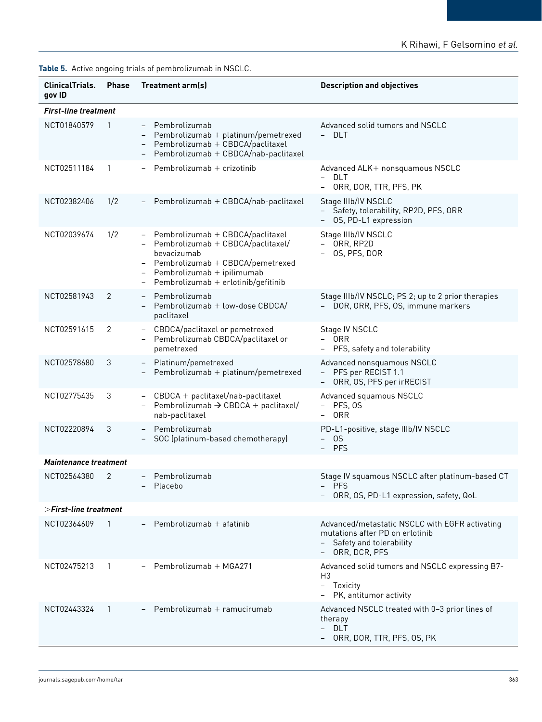|  |  |  |  |  | Table 5. Active ongoing trials of pembrolizumab in NSCLC. |  |
|--|--|--|--|--|-----------------------------------------------------------|--|
|--|--|--|--|--|-----------------------------------------------------------|--|

| <b>ClinicalTrials.</b><br>gov ID | <b>Phase</b>   | Treatment arm(s)                                                                                                                                                                                | <b>Description and objectives</b>                                                                                                 |  |  |  |
|----------------------------------|----------------|-------------------------------------------------------------------------------------------------------------------------------------------------------------------------------------------------|-----------------------------------------------------------------------------------------------------------------------------------|--|--|--|
| <b>First-line treatment</b>      |                |                                                                                                                                                                                                 |                                                                                                                                   |  |  |  |
| NCT01840579                      | -1             | - Pembrolizumab<br>$Pembrolizumab + platinum/pemetrexed$<br>Pembrolizumab + CBDCA/paclitaxel<br>Pembrolizumab + CBDCA/nab-paclitaxel                                                            | Advanced solid tumors and NSCLC<br>- DLT                                                                                          |  |  |  |
| NCT02511184                      | -1             | Pembrolizumab $+$ crizotinib                                                                                                                                                                    | Advanced ALK+ nonsquamous NSCLC<br>- DLT<br>ORR, DOR, TTR, PFS, PK                                                                |  |  |  |
| NCT02382406                      | 1/2            | Pembrolizumab + CBDCA/nab-paclitaxel                                                                                                                                                            | Stage IIIb/IV NSCLC<br>- Safety, tolerability, RP2D, PFS, ORR<br>OS, PD-L1 expression                                             |  |  |  |
| NCT02039674                      | 1/2            | Pembrolizumab + CBDCA/paclitaxel<br>Pembrolizumab + CBDCA/paclitaxel/<br>bevacizumab<br>- Pembrolizumab + CBDCA/pemetrexed<br>Pembrolizumab + ipilimumab<br>Pembrolizumab + erlotinib/gefitinib | Stage IIIb/IV NSCLC<br>- ORR, RP2D<br>OS, PFS, DOR                                                                                |  |  |  |
| NCT02581943                      | 2              | Pembrolizumab<br>$\overline{\phantom{0}}$<br>Pembrolizumab + low-dose CBDCA/<br>paclitaxel                                                                                                      | Stage IIIb/IV NSCLC; PS 2; up to 2 prior therapies<br>- DOR, ORR, PFS, OS, immune markers                                         |  |  |  |
| NCT02591615                      | 2              | CBDCA/paclitaxel or pemetrexed<br>$\overline{\phantom{a}}$<br>Pembrolizumab CBDCA/paclitaxel or<br>pemetrexed                                                                                   | Stage IV NSCLC<br>- ORR<br>- PFS, safety and tolerability                                                                         |  |  |  |
| NCT02578680                      | 3              | Platinum/pemetrexed<br>$\overline{\phantom{0}}$<br>Pembrolizumab + platinum/pemetrexed                                                                                                          | Advanced nonsquamous NSCLC<br>- PFS per RECIST 1.1<br>ORR, OS, PFS per irRECIST                                                   |  |  |  |
| NCT02775435                      | 3              | CBDCA + paclitaxel/nab-paclitaxel<br>$\overline{\phantom{a}}$<br>Pembrolizumab $\rightarrow$ CBDCA + paclitaxel/<br>nab-paclitaxel                                                              | Advanced squamous NSCLC<br>- PFS, OS<br>- ORR                                                                                     |  |  |  |
| NCT02220894                      | 3              | Pembrolizumab<br>SOC (platinum-based chemotherapy)                                                                                                                                              | PD-L1-positive, stage IIIb/IV NSCLC<br>$-0S$<br>- PFS                                                                             |  |  |  |
| <b>Maintenance treatment</b>     |                |                                                                                                                                                                                                 |                                                                                                                                   |  |  |  |
| NCT02564380                      | 2              | Pembrolizumab<br>$\overline{\phantom{0}}$<br>Placebo                                                                                                                                            | Stage IV squamous NSCLC after platinum-based CT<br>- PFS<br>ORR, OS, PD-L1 expression, safety, QoL                                |  |  |  |
| >First-line treatment            |                |                                                                                                                                                                                                 |                                                                                                                                   |  |  |  |
| NCT02364609                      | $\overline{1}$ | Pembrolizumab + afatinib                                                                                                                                                                        | Advanced/metastatic NSCLC with EGFR activating<br>mutations after PD on erlotinib<br>- Safety and tolerability<br>- ORR, DCR, PFS |  |  |  |
| NCT02475213                      |                | $-$ Pembrolizumab + MGA271                                                                                                                                                                      | Advanced solid tumors and NSCLC expressing B7-<br>H <sub>3</sub><br>- Toxicity<br>- PK, antitumor activity                        |  |  |  |
| NCT02443324                      | $\overline{1}$ | Pembrolizumab + ramucirumab                                                                                                                                                                     | Advanced NSCLC treated with 0-3 prior lines of<br>therapy<br>- DLT<br>– ORR, DOR, TTR, PFS, OS, PK                                |  |  |  |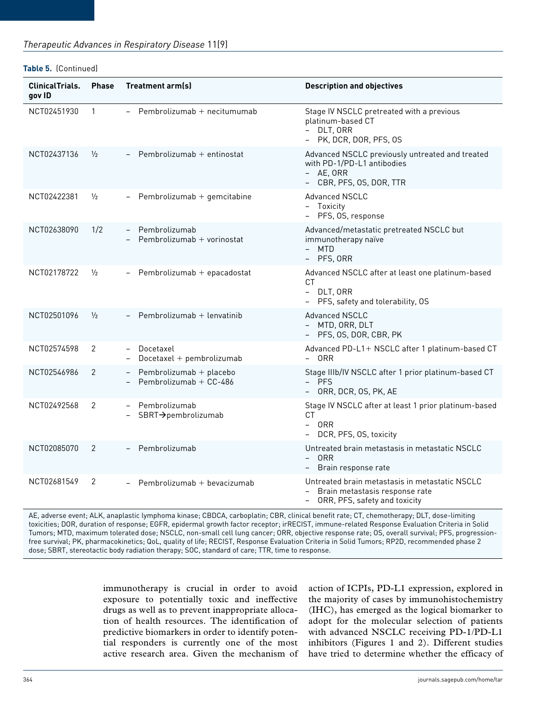#### **Table 5.** (Continued)

| <b>ClinicalTrials.</b><br>gov ID | <b>Phase</b>  | Treatment arm(s)                                        | <b>Description and objectives</b>                                                                                      |
|----------------------------------|---------------|---------------------------------------------------------|------------------------------------------------------------------------------------------------------------------------|
| NCT02451930                      | $\mathbf{1}$  | $-$ Pembrolizumab + necitumumab                         | Stage IV NSCLC pretreated with a previous<br>platinum-based CT<br>- DLT, ORR<br>- PK, DCR, DOR, PFS, OS                |
| NCT02437136                      | $\frac{1}{2}$ | - Pembrolizumab + entinostat                            | Advanced NSCLC previously untreated and treated<br>with PD-1/PD-L1 antibodies<br>- AE, ORR<br>- CBR, PFS, OS, DOR, TTR |
| NCT02422381                      | $\frac{1}{2}$ | Pembrolizumab + gemcitabine<br>$-$                      | Advanced NSCLC<br>- Toxicity<br>- PFS, OS, response                                                                    |
| NCT02638090                      | 1/2           | Pembrolizumab<br>Pembrolizumab + vorinostat             | Advanced/metastatic pretreated NSCLC but<br>immunotherapy naïve<br>- MTD<br>- PFS, ORR                                 |
| NCT02178722                      | $\frac{1}{2}$ | Pembrolizumab + epacadostat                             | Advanced NSCLC after at least one platinum-based<br>CT.<br>- DLT, ORR<br>- PFS, safety and tolerability, OS            |
| NCT02501096                      | $\frac{1}{2}$ | Pembrolizumab + lenvatinib                              | <b>Advanced NSCLC</b><br>- MTD, ORR, DLT<br>- PFS, OS, DOR, CBR, PK                                                    |
| NCT02574598                      | 2             | Docetaxel<br>Docetaxel + pembrolizumab                  | Advanced PD-L1+ NSCLC after 1 platinum-based CT<br>- ORR                                                               |
| NCT02546986                      | 2             | Pembrolizumab + placebo<br>Pembrolizumab + CC-486       | Stage IIIb/IV NSCLC after 1 prior platinum-based CT<br>- PFS<br>- ORR, DCR, OS, PK, AE                                 |
| NCT02492568                      | 2             | - Pembrolizumab<br>SBRT→pembrolizumab                   | Stage IV NSCLC after at least 1 prior platinum-based<br>СT<br>- ORR<br>- DCR, PFS, OS, toxicity                        |
| NCT02085070                      | 2             | Pembrolizumab                                           | Untreated brain metastasis in metastatic NSCLC<br>- ORR<br>Brain response rate                                         |
| NCT02681549                      | 2             | Pembrolizumab + bevacizumab<br>$\overline{\phantom{0}}$ | Untreated brain metastasis in metastatic NSCLC<br>Brain metastasis response rate<br>ORR, PFS, safety and toxicity      |

AE, adverse event; ALK, anaplastic lymphoma kinase; CBDCA, carboplatin; CBR, clinical benefit rate; CT, chemotherapy; DLT, dose-limiting toxicities; DOR, duration of response; EGFR, epidermal growth factor receptor; irRECIST, immune-related Response Evaluation Criteria in Solid Tumors; MTD, maximum tolerated dose; NSCLC, non-small cell lung cancer; ORR, objective response rate; OS, overall survival; PFS, progressionfree survival; PK, pharmacokinetics; QoL, quality of life; RECIST, Response Evaluation Criteria in Solid Tumors; RP2D, recommended phase 2 dose; SBRT, stereotactic body radiation therapy; SOC, standard of care; TTR, time to response.

> immunotherapy is crucial in order to avoid exposure to potentially toxic and ineffective drugs as well as to prevent inappropriate allocation of health resources. The identification of predictive biomarkers in order to identify potential responders is currently one of the most active research area. Given the mechanism of

action of ICPIs, PD-L1 expression, explored in the majority of cases by immunohistochemistry (IHC), has emerged as the logical biomarker to adopt for the molecular selection of patients with advanced NSCLC receiving PD-1/PD-L1 inhibitors (Figures 1 and 2). Different studies have tried to determine whether the efficacy of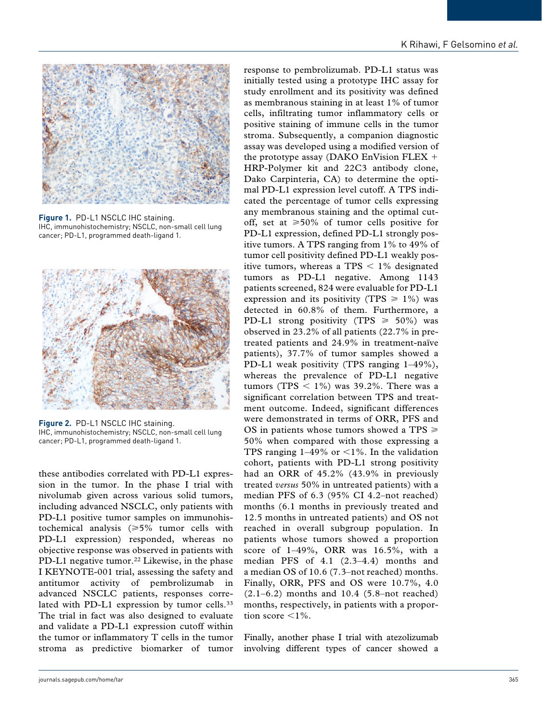

**Figure 1.** PD-L1 NSCLC IHC staining. IHC, immunohistochemistry; NSCLC, non-small cell lung cancer; PD-L1, programmed death-ligand 1.



**Figure 2.** PD-L1 NSCLC IHC staining. IHC, immunohistochemistry; NSCLC, non-small cell lung cancer; PD-L1, programmed death-ligand 1.

these antibodies correlated with PD-L1 expression in the tumor. In the phase I trial with nivolumab given across various solid tumors, including advanced NSCLC, only patients with PD-L1 positive tumor samples on immunohistochemical analysis ( $\geq 5\%$  tumor cells with PD-L1 expression) responded, whereas no objective response was observed in patients with PD-L1 negative tumor.<sup>22</sup> Likewise, in the phase I KEYNOTE-001 trial, assessing the safety and antitumor activity of pembrolizumab in advanced NSCLC patients, responses correlated with PD-L1 expression by tumor cells.<sup>33</sup> The trial in fact was also designed to evaluate and validate a PD-L1 expression cutoff within the tumor or inflammatory T cells in the tumor stroma as predictive biomarker of tumor response to pembrolizumab. PD-L1 status was initially tested using a prototype IHC assay for study enrollment and its positivity was defined as membranous staining in at least 1% of tumor cells, infiltrating tumor inflammatory cells or positive staining of immune cells in the tumor stroma. Subsequently, a companion diagnostic assay was developed using a modified version of the prototype assay (DAKO EnVision FLEX + HRP-Polymer kit and 22C3 antibody clone, Dako Carpinteria, CA) to determine the optimal PD-L1 expression level cutoff. A TPS indicated the percentage of tumor cells expressing any membranous staining and the optimal cutoff, set at  $\geq 50\%$  of tumor cells positive for PD-L1 expression, defined PD-L1 strongly positive tumors. A TPS ranging from 1% to 49% of tumor cell positivity defined PD-L1 weakly positive tumors, whereas a TPS  $\leq$  1% designated tumors as PD-L1 negative. Among 1143 patients screened, 824 were evaluable for PD-L1 expression and its positivity (TPS  $\geq 1\%$ ) was detected in 60.8% of them. Furthermore, a PD-L1 strong positivity (TPS  $\geq 50\%$ ) was observed in 23.2% of all patients (22.7% in pretreated patients and 24.9% in treatment-naïve patients), 37.7% of tumor samples showed a PD-L1 weak positivity (TPS ranging 1–49%), whereas the prevalence of PD-L1 negative tumors (TPS  $\langle 1\% \rangle$  was 39.2%. There was a significant correlation between TPS and treatment outcome. Indeed, significant differences were demonstrated in terms of ORR, PFS and OS in patients whose tumors showed a TPS  $\geq$ 50% when compared with those expressing a TPS ranging  $1-49\%$  or  $\lt 1\%$ . In the validation cohort, patients with PD-L1 strong positivity had an ORR of 45.2% (43.9% in previously treated *versus* 50% in untreated patients) with a median PFS of 6.3 (95% CI 4.2–not reached) months (6.1 months in previously treated and 12.5 months in untreated patients) and OS not reached in overall subgroup population. In patients whose tumors showed a proportion score of 1–49%, ORR was 16.5%, with a median PFS of 4.1 (2.3–4.4) months and a median OS of 10.6 (7.3–not reached) months. Finally, ORR, PFS and OS were 10.7%, 4.0  $(2.1-6.2)$  months and  $10.4$  (5.8-not reached) months, respectively, in patients with a proportion score  $\leq 1\%$ .

Finally, another phase I trial with atezolizumab involving different types of cancer showed a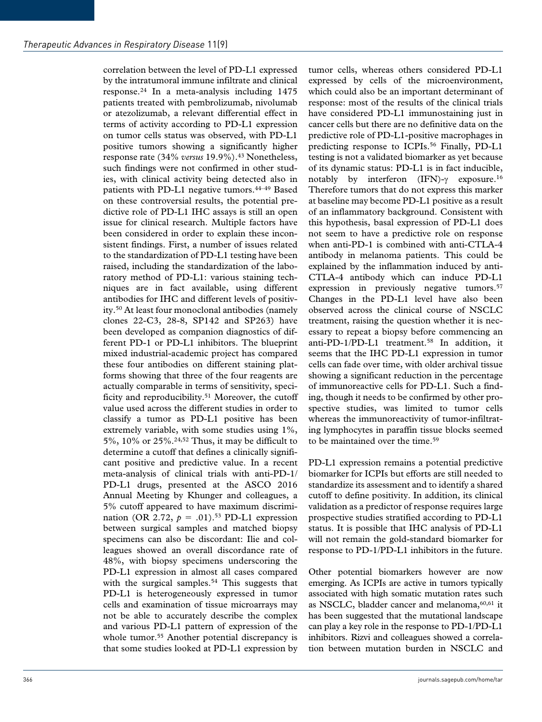correlation between the level of PD-L1 expressed by the intratumoral immune infiltrate and clinical response.24 In a meta-analysis including 1475 patients treated with pembrolizumab, nivolumab or atezolizumab, a relevant differential effect in terms of activity according to PD-L1 expression on tumor cells status was observed, with PD-L1 positive tumors showing a significantly higher response rate (34% *versus* 19.9%).<sup>43</sup> Nonetheless, such findings were not confirmed in other studies, with clinical activity being detected also in patients with PD-L1 negative tumors.44–49 Based on these controversial results, the potential predictive role of PD-L1 IHC assays is still an open issue for clinical research. Multiple factors have been considered in order to explain these inconsistent findings. First, a number of issues related to the standardization of PD-L1 testing have been raised, including the standardization of the laboratory method of PD-L1: various staining techniques are in fact available, using different antibodies for IHC and different levels of positivity.50 At least four monoclonal antibodies (namely clones 22-C3, 28-8, SP142 and SP263) have been developed as companion diagnostics of different PD-1 or PD-L1 inhibitors. The blueprint mixed industrial-academic project has compared these four antibodies on different staining platforms showing that three of the four reagents are actually comparable in terms of sensitivity, specificity and reproducibility.<sup>51</sup> Moreover, the cutoff value used across the different studies in order to classify a tumor as PD-L1 positive has been extremely variable, with some studies using 1%, 5%, 10% or 25%.24,52 Thus, it may be difficult to determine a cutoff that defines a clinically significant positive and predictive value. In a recent meta-analysis of clinical trials with anti-PD-1/ PD-L1 drugs, presented at the ASCO 2016 Annual Meeting by Khunger and colleagues, a 5% cutoff appeared to have maximum discrimination (OR 2.72,  $p = .01$ ).<sup>53</sup> PD-L1 expression between surgical samples and matched biopsy specimens can also be discordant: Ilie and colleagues showed an overall discordance rate of 48%, with biopsy specimens underscoring the PD-L1 expression in almost all cases compared with the surgical samples.<sup>54</sup> This suggests that PD-L1 is heterogeneously expressed in tumor cells and examination of tissue microarrays may not be able to accurately describe the complex and various PD-L1 pattern of expression of the whole tumor.<sup>55</sup> Another potential discrepancy is that some studies looked at PD-L1 expression by

tumor cells, whereas others considered PD-L1 expressed by cells of the microenvironment, which could also be an important determinant of response: most of the results of the clinical trials have considered PD-L1 immunostaining just in cancer cells but there are no definitive data on the predictive role of PD-L1-positive macrophages in predicting response to ICPIs.56 Finally, PD-L1 testing is not a validated biomarker as yet because of its dynamic status: PD-L1 is in fact inducible, notably by interferon (IFN)-γ exposure.16 Therefore tumors that do not express this marker at baseline may become PD-L1 positive as a result of an inflammatory background. Consistent with this hypothesis, basal expression of PD-L1 does not seem to have a predictive role on response when anti-PD-1 is combined with anti-CTLA-4 antibody in melanoma patients. This could be explained by the inflammation induced by anti-CTLA-4 antibody which can induce PD-L1 expression in previously negative tumors.<sup>57</sup> Changes in the PD-L1 level have also been observed across the clinical course of NSCLC treatment, raising the question whether it is necessary to repeat a biopsy before commencing an anti-PD-1/PD-L1 treatment.<sup>58</sup> In addition, it seems that the IHC PD-L1 expression in tumor cells can fade over time, with older archival tissue showing a significant reduction in the percentage of immunoreactive cells for PD-L1. Such a finding, though it needs to be confirmed by other prospective studies, was limited to tumor cells whereas the immunoreactivity of tumor-infiltrating lymphocytes in paraffin tissue blocks seemed to be maintained over the time.<sup>59</sup>

PD-L1 expression remains a potential predictive biomarker for ICPIs but efforts are still needed to standardize its assessment and to identify a shared cutoff to define positivity. In addition, its clinical validation as a predictor of response requires large prospective studies stratified according to PD-L1 status. It is possible that IHC analysis of PD-L1 will not remain the gold-standard biomarker for response to PD-1/PD-L1 inhibitors in the future.

Other potential biomarkers however are now emerging. As ICPIs are active in tumors typically associated with high somatic mutation rates such as NSCLC, bladder cancer and melanoma,<sup>60,61</sup> it has been suggested that the mutational landscape can play a key role in the response to PD-1/PD-L1 inhibitors. Rizvi and colleagues showed a correlation between mutation burden in NSCLC and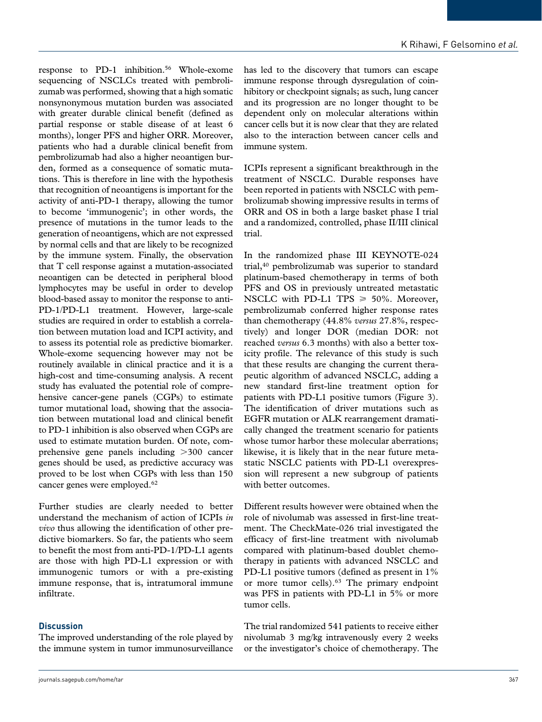response to PD-1 inhibition.56 Whole-exome sequencing of NSCLCs treated with pembrolizumab was performed, showing that a high somatic nonsynonymous mutation burden was associated with greater durable clinical benefit (defined as partial response or stable disease of at least 6 months), longer PFS and higher ORR. Moreover, patients who had a durable clinical benefit from pembrolizumab had also a higher neoantigen burden, formed as a consequence of somatic mutations. This is therefore in line with the hypothesis that recognition of neoantigens is important for the activity of anti-PD-1 therapy, allowing the tumor to become 'immunogenic'; in other words, the presence of mutations in the tumor leads to the generation of neoantigens, which are not expressed by normal cells and that are likely to be recognized by the immune system. Finally, the observation that T cell response against a mutation-associated neoantigen can be detected in peripheral blood lymphocytes may be useful in order to develop blood-based assay to monitor the response to anti-PD-1/PD-L1 treatment. However, large-scale studies are required in order to establish a correlation between mutation load and ICPI activity, and to assess its potential role as predictive biomarker. Whole-exome sequencing however may not be routinely available in clinical practice and it is a high-cost and time-consuming analysis. A recent study has evaluated the potential role of comprehensive cancer-gene panels (CGPs) to estimate tumor mutational load, showing that the association between mutational load and clinical benefit to PD-1 inhibition is also observed when CGPs are used to estimate mutation burden. Of note, comprehensive gene panels including >300 cancer genes should be used, as predictive accuracy was proved to be lost when CGPs with less than 150 cancer genes were employed.<sup>62</sup>

Further studies are clearly needed to better understand the mechanism of action of ICPIs *in vivo* thus allowing the identification of other predictive biomarkers. So far, the patients who seem to benefit the most from anti-PD-1/PD-L1 agents are those with high PD-L1 expression or with immunogenic tumors or with a pre-existing immune response, that is, intratumoral immune infiltrate.

## **Discussion**

The improved understanding of the role played by the immune system in tumor immunosurveillance

has led to the discovery that tumors can escape immune response through dysregulation of coinhibitory or checkpoint signals; as such, lung cancer and its progression are no longer thought to be dependent only on molecular alterations within cancer cells but it is now clear that they are related also to the interaction between cancer cells and immune system.

ICPIs represent a significant breakthrough in the treatment of NSCLC. Durable responses have been reported in patients with NSCLC with pembrolizumab showing impressive results in terms of ORR and OS in both a large basket phase I trial and a randomized, controlled, phase II/III clinical trial.

In the randomized phase III KEYNOTE-024 trial,40 pembrolizumab was superior to standard platinum-based chemotherapy in terms of both PFS and OS in previously untreated metastatic NSCLC with PD-L1 TPS  $\geq 50\%$ . Moreover, pembrolizumab conferred higher response rates than chemotherapy (44.8% *versus* 27.8%, respectively) and longer DOR (median DOR: not reached *versus* 6.3 months) with also a better toxicity profile. The relevance of this study is such that these results are changing the current therapeutic algorithm of advanced NSCLC, adding a new standard first-line treatment option for patients with PD-L1 positive tumors (Figure 3). The identification of driver mutations such as EGFR mutation or ALK rearrangement dramatically changed the treatment scenario for patients whose tumor harbor these molecular aberrations; likewise, it is likely that in the near future metastatic NSCLC patients with PD-L1 overexpression will represent a new subgroup of patients with better outcomes.

Different results however were obtained when the role of nivolumab was assessed in first-line treatment. The CheckMate-026 trial investigated the efficacy of first-line treatment with nivolumab compared with platinum-based doublet chemotherapy in patients with advanced NSCLC and PD-L1 positive tumors (defined as present in 1% or more tumor cells).<sup>63</sup> The primary endpoint was PFS in patients with PD-L1 in 5% or more tumor cells.

The trial randomized 541 patients to receive either nivolumab 3 mg/kg intravenously every 2 weeks or the investigator's choice of chemotherapy. The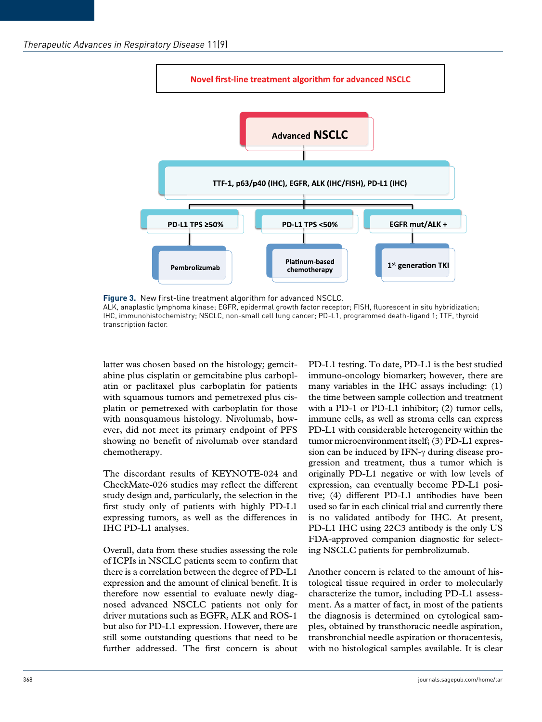

**Figure 3.** New first-line treatment algorithm for advanced NSCLC. ALK, anaplastic lymphoma kinase; EGFR, epidermal growth factor receptor; FISH, fluorescent in situ hybridization; IHC, immunohistochemistry; NSCLC, non-small cell lung cancer; PD-L1, programmed death-ligand 1; TTF, thyroid transcription factor.

latter was chosen based on the histology; gemcitabine plus cisplatin or gemcitabine plus carboplatin or paclitaxel plus carboplatin for patients with squamous tumors and pemetrexed plus cisplatin or pemetrexed with carboplatin for those with nonsquamous histology. Nivolumab, however, did not meet its primary endpoint of PFS showing no benefit of nivolumab over standard chemotherapy.

The discordant results of KEYNOTE-024 and CheckMate-026 studies may reflect the different study design and, particularly, the selection in the first study only of patients with highly PD-L1 expressing tumors, as well as the differences in IHC PD-L1 analyses.

Overall, data from these studies assessing the role of ICPIs in NSCLC patients seem to confirm that there is a correlation between the degree of PD-L1 expression and the amount of clinical benefit. It is therefore now essential to evaluate newly diagnosed advanced NSCLC patients not only for driver mutations such as EGFR, ALK and ROS-1 but also for PD-L1 expression. However, there are still some outstanding questions that need to be further addressed. The first concern is about

PD-L1 testing. To date, PD-L1 is the best studied immuno-oncology biomarker; however, there are many variables in the IHC assays including: (1) the time between sample collection and treatment with a PD-1 or PD-L1 inhibitor; (2) tumor cells, immune cells, as well as stroma cells can express PD-L1 with considerable heterogeneity within the tumor microenvironment itself; (3) PD-L1 expression can be induced by IFN-γ during disease progression and treatment, thus a tumor which is originally PD-L1 negative or with low levels of expression, can eventually become PD-L1 positive; (4) different PD-L1 antibodies have been used so far in each clinical trial and currently there is no validated antibody for IHC. At present, PD-L1 IHC using 22C3 antibody is the only US FDA-approved companion diagnostic for selecting NSCLC patients for pembrolizumab.

Another concern is related to the amount of histological tissue required in order to molecularly characterize the tumor, including PD-L1 assessment. As a matter of fact, in most of the patients the diagnosis is determined on cytological samples, obtained by transthoracic needle aspiration, transbronchial needle aspiration or thoracentesis, with no histological samples available. It is clear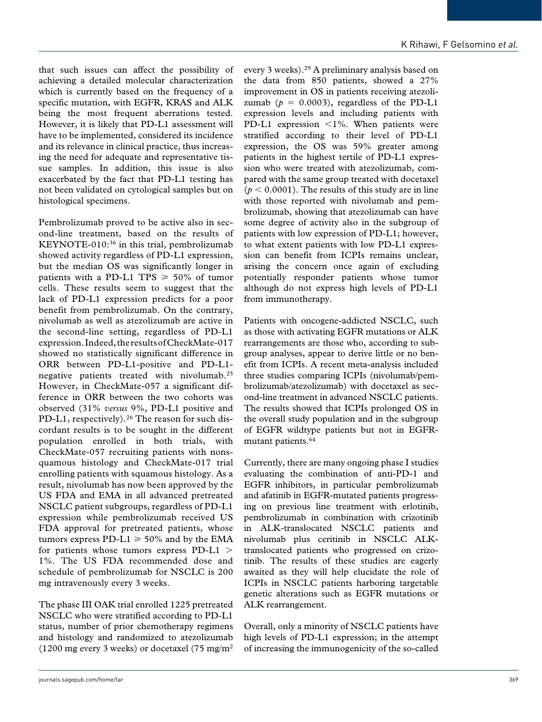that such issues can affect the possibility of achieving a detailed molecular characterization which is currently based on the frequency of a specific mutation, with EGFR, KRAS and ALK being the most frequent aberrations tested. However, it is likely that PD-L1 assessment will have to be implemented, considered its incidence and its relevance in clinical practice, thus increasing the need for adequate and representative tissue samples. In addition, this issue is also exacerbated by the fact that PD-L1 testing has not been validated on cytological samples but on histological specimens.

Pembrolizumab proved to be active also in second-line treatment, based on the results of KEYNOTE-010:36 in this trial, pembrolizumab showed activity regardless of PD-L1 expression, but the median OS was significantly longer in patients with a PD-L1 TPS  $\geq 50\%$  of tumor cells. These results seem to suggest that the lack of PD-L1 expression predicts for a poor benefit from pembrolizumab. On the contrary, nivolumab as well as atezolizumab are active in the second-line setting, regardless of PD-L1 expression. Indeed, the results of CheckMate-017 showed no statistically significant difference in ORR between PD-L1-positive and PD-L1 negative patients treated with nivolumab.25 However, in CheckMate-057 a significant difference in ORR between the two cohorts was observed (31% *versus* 9%, PD-L1 positive and PD-L1, respectively).<sup>26</sup> The reason for such discordant results is to be sought in the different population enrolled in both trials, with CheckMate-057 recruiting patients with nonsquamous histology and CheckMate-017 trial enrolling patients with squamous histology. As a result, nivolumab has now been approved by the US FDA and EMA in all advanced pretreated NSCLC patient subgroups, regardless of PD-L1 expression while pembrolizumab received US FDA approval for pretreated patients, whose tumors express PD-L1  $\geq$  50% and by the EMA for patients whose tumors express PD-L1 > 1%. The US FDA recommended dose and schedule of pembrolizumab for NSCLC is 200 mg intravenously every 3 weeks.

The phase III OAK trial enrolled 1225 pretreated NSCLC who were stratified according to PD-L1 status, number of prior chemotherapy regimens and histology and randomized to atezolizumab (1200 mg every 3 weeks) or docetaxel (75 mg/m<sup>2</sup>)

every 3 weeks).29 A preliminary analysis based on the data from 850 patients, showed a 27% improvement in OS in patients receiving atezolizumab ( $p = 0.0003$ ), regardless of the PD-L1 expression levels and including patients with PD-L1 expression <1%. When patients were stratified according to their level of PD-L1 expression, the OS was 59% greater among patients in the highest tertile of PD-L1 expression who were treated with atezolizumab, compared with the same group treated with docetaxel  $(p < 0.0001)$ . The results of this study are in line with those reported with nivolumab and pembrolizumab, showing that atezolizumab can have some degree of activity also in the subgroup of patients with low expression of PD-L1; however, to what extent patients with low PD-L1 expression can benefit from ICPIs remains unclear, arising the concern once again of excluding potentially responder patients whose tumor although do not express high levels of PD-L1 from immunotherapy.

Patients with oncogene-addicted NSCLC, such as those with activating EGFR mutations or ALK rearrangements are those who, according to subgroup analyses, appear to derive little or no benefit from ICPIs. A recent meta-analysis included three studies comparing ICPIs (nivolumab/pembrolizumab/atezolizumab) with docetaxel as second-line treatment in advanced NSCLC patients. The results showed that ICPIs prolonged OS in the overall study population and in the subgroup of EGFR wildtype patients but not in EGFRmutant patients.64

Currently, there are many ongoing phase I studies evaluating the combination of anti-PD-1 and EGFR inhibitors, in particular pembrolizumab and afatinib in EGFR-mutated patients progressing on previous line treatment with erlotinib, pembrolizumab in combination with crizotinib in ALK-translocated NSCLC patients and nivolumab plus ceritinib in NSCLC ALKtranslocated patients who progressed on crizotinib. The results of these studies are eagerly awaited as they will help elucidate the role of ICPIs in NSCLC patients harboring targetable genetic alterations such as EGFR mutations or ALK rearrangement.

Overall, only a minority of NSCLC patients have high levels of PD-L1 expression; in the attempt of increasing the immunogenicity of the so-called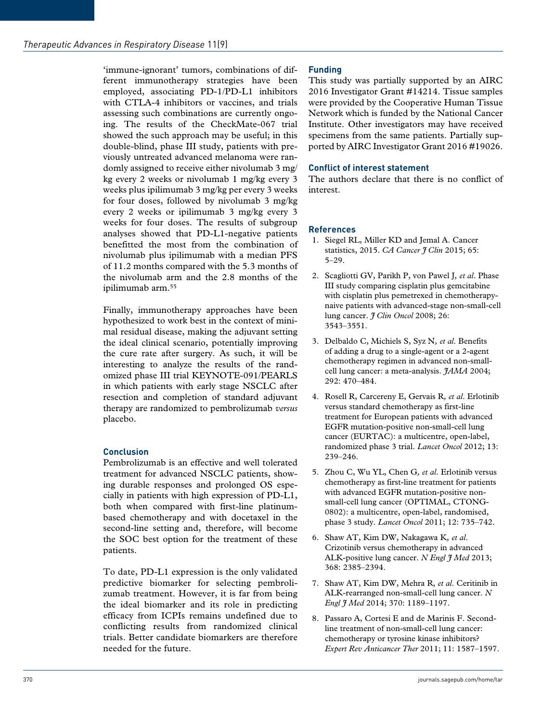'immune-ignorant' tumors, combinations of different immunotherapy strategies have been employed, associating PD-1/PD-L1 inhibitors with CTLA-4 inhibitors or vaccines, and trials assessing such combinations are currently ongoing. The results of the CheckMate-067 trial showed the such approach may be useful; in this double-blind, phase III study, patients with previously untreated advanced melanoma were randomly assigned to receive either nivolumab 3 mg/ kg every 2 weeks or nivolumab 1 mg/kg every 3 weeks plus ipilimumab 3 mg/kg per every 3 weeks for four doses, followed by nivolumab 3 mg/kg every 2 weeks or ipilimumab 3 mg/kg every 3 weeks for four doses. The results of subgroup analyses showed that PD-L1-negative patients benefitted the most from the combination of nivolumab plus ipilimumab with a median PFS of 11.2 months compared with the 5.3 months of the nivolumab arm and the 2.8 months of the ipilimumab arm.55

Finally, immunotherapy approaches have been hypothesized to work best in the context of minimal residual disease, making the adjuvant setting the ideal clinical scenario, potentially improving the cure rate after surgery. As such, it will be interesting to analyze the results of the randomized phase III trial KEYNOTE-091/PEARLS in which patients with early stage NSCLC after resection and completion of standard adjuvant therapy are randomized to pembrolizumab *versus* placebo.

## **Conclusion**

Pembrolizumab is an effective and well tolerated treatment for advanced NSCLC patients, showing durable responses and prolonged OS especially in patients with high expression of PD-L1, both when compared with first-line platinumbased chemotherapy and with docetaxel in the second-line setting and, therefore, will become the SOC best option for the treatment of these patients.

To date, PD-L1 expression is the only validated predictive biomarker for selecting pembrolizumab treatment. However, it is far from being the ideal biomarker and its role in predicting efficacy from ICPIs remains undefined due to conflicting results from randomized clinical trials. Better candidate biomarkers are therefore needed for the future.

## **Funding**

This study was partially supported by an AIRC 2016 Investigator Grant #14214. Tissue samples were provided by the Cooperative Human Tissue Network which is funded by the National Cancer Institute. Other investigators may have received specimens from the same patients. Partially supported by AIRC Investigator Grant 2016 #19026.

## **Conflict of interest statement**

The authors declare that there is no conflict of interest.

#### **References**

- 1. Siegel RL, Miller KD and Jemal A. Cancer statistics, 2015. *CA Cancer J Clin* 2015; 65: 5–29.
- 2. Scagliotti GV, Parikh P, von Pawel J*, et al*. Phase III study comparing cisplatin plus gemcitabine with cisplatin plus pemetrexed in chemotherapynaive patients with advanced-stage non-small-cell lung cancer. *J Clin Oncol* 2008; 26: 3543–3551.
- 3. Delbaldo C, Michiels S, Syz N*, et al*. Benefits of adding a drug to a single-agent or a 2-agent chemotherapy regimen in advanced non-smallcell lung cancer: a meta-analysis. *JAMA* 2004; 292: 470–484.
- 4. Rosell R, Carcereny E, Gervais R*, et al*. Erlotinib versus standard chemotherapy as first-line treatment for European patients with advanced EGFR mutation-positive non-small-cell lung cancer (EURTAC): a multicentre, open-label, randomized phase 3 trial. *Lancet Oncol* 2012; 13: 239–246.
- 5. Zhou C, Wu YL, Chen G*, et al*. Erlotinib versus chemotherapy as first-line treatment for patients with advanced EGFR mutation-positive nonsmall-cell lung cancer (OPTIMAL, CTONG-0802): a multicentre, open-label, randomised, phase 3 study. *Lancet Oncol* 2011; 12: 735–742.
- 6. Shaw AT, Kim DW, Nakagawa K*, et al*. Crizotinib versus chemotherapy in advanced ALK-positive lung cancer. *N Engl J Med* 2013; 368: 2385–2394.
- 7. Shaw AT, Kim DW, Mehra R*, et al*. Ceritinib in ALK-rearranged non-small-cell lung cancer. *N Engl J Med* 2014; 370: 1189–1197.
- 8. Passaro A, Cortesi E and de Marinis F. Secondline treatment of non-small-cell lung cancer: chemotherapy or tyrosine kinase inhibitors? *Expert Rev Anticancer Ther* 2011; 11: 1587–1597.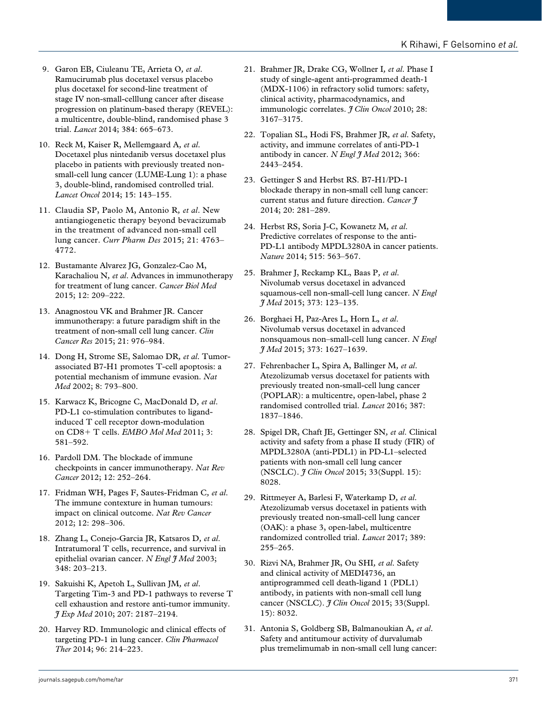- 9. Garon EB, Ciuleanu TE, Arrieta O*, et al*. Ramucirumab plus docetaxel versus placebo plus docetaxel for second-line treatment of stage IV non-small-celllung cancer after disease progression on platinum-based therapy (REVEL): a multicentre, double-blind, randomised phase 3 trial. *Lancet* 2014; 384: 665–673.
- 10. Reck M, Kaiser R, Mellemgaard A*, et al*. Docetaxel plus nintedanib versus docetaxel plus placebo in patients with previously treated nonsmall-cell lung cancer (LUME-Lung 1): a phase 3, double-blind, randomised controlled trial. *Lancet Oncol* 2014; 15: 143–155.
- 11. Claudia SP, Paolo M, Antonio R*, et al*. New antiangiogenetic therapy beyond bevacizumab in the treatment of advanced non-small cell lung cancer. *Curr Pharm Des* 2015; 21: 4763– 4772.
- 12. Bustamante Alvarez JG, Gonzalez-Cao M, Karachaliou N*, et al*. Advances in immunotherapy for treatment of lung cancer. *Cancer Biol Med* 2015; 12: 209–222.
- 13. Anagnostou VK and Brahmer JR. Cancer immunotherapy: a future paradigm shift in the treatment of non-small cell lung cancer. *Clin Cancer Res* 2015; 21: 976–984.
- 14. Dong H, Strome SE, Salomao DR*, et al*. Tumorassociated B7-H1 promotes T-cell apoptosis: a potential mechanism of immune evasion. *Nat Med* 2002; 8: 793–800.
- 15. Karwacz K, Bricogne C, MacDonald D*, et al*. PD-L1 co-stimulation contributes to ligandinduced T cell receptor down-modulation on CD8+ T cells. *EMBO Mol Med* 2011; 3: 581–592.
- 16. Pardoll DM. The blockade of immune checkpoints in cancer immunotherapy. *Nat Rev Cancer* 2012; 12: 252–264.
- 17. Fridman WH, Pages F, Sautes-Fridman C*, et al*. The immune contexture in human tumours: impact on clinical outcome. *Nat Rev Cancer* 2012; 12: 298–306.
- 18. Zhang L, Conejo-Garcia JR, Katsaros D*, et al*. Intratumoral T cells, recurrence, and survival in epithelial ovarian cancer. *N Engl J Med* 2003; 348: 203–213.
- 19. Sakuishi K, Apetoh L, Sullivan JM*, et al*. Targeting Tim-3 and PD-1 pathways to reverse T cell exhaustion and restore anti-tumor immunity. *J Exp Med* 2010; 207: 2187–2194.
- 20. Harvey RD. Immunologic and clinical effects of targeting PD-1 in lung cancer. *Clin Pharmacol Ther* 2014; 96: 214–223.
- 21. Brahmer JR, Drake CG, Wollner I*, et al*. Phase I study of single-agent anti-programmed death-1 (MDX-1106) in refractory solid tumors: safety, clinical activity, pharmacodynamics, and immunologic correlates. *I Clin Oncol* 2010; 28: 3167–3175.
- 22. Topalian SL, Hodi FS, Brahmer JR*, et al*. Safety, activity, and immune correlates of anti-PD-1 antibody in cancer. *N Engl I Med* 2012; 366: 2443–2454.
- 23. Gettinger S and Herbst RS. B7-H1/PD-1 blockade therapy in non-small cell lung cancer: current status and future direction. *Cancer J* 2014; 20: 281–289.
- 24. Herbst RS, Soria J-C, Kowanetz M*, et al*. Predictive correlates of response to the anti-PD-L1 antibody MPDL3280A in cancer patients. *Nature* 2014; 515: 563–567.
- 25. Brahmer J, Reckamp KL, Baas P*, et al*. Nivolumab versus docetaxel in advanced squamous-cell non-small-cell lung cancer. *N Engl J Med* 2015; 373: 123–135.
- 26. Borghaei H, Paz-Ares L, Horn L*, et al*. Nivolumab versus docetaxel in advanced nonsquamous non–small-cell lung cancer. *N Engl J Med* 2015; 373: 1627–1639.
- 27. Fehrenbacher L, Spira A, Ballinger M*, et al*. Atezolizumab versus docetaxel for patients with previously treated non-small-cell lung cancer (POPLAR): a multicentre, open-label, phase 2 randomised controlled trial. *Lancet* 2016; 387: 1837–1846.
- 28. Spigel DR, Chaft JE, Gettinger SN*, et al*. Clinical activity and safety from a phase II study (FIR) of MPDL3280A (anti-PDL1) in PD-L1–selected patients with non-small cell lung cancer (NSCLC). *J Clin Oncol* 2015; 33(Suppl. 15): 8028.
- 29. Rittmeyer A, Barlesi F, Waterkamp D*, et al*. Atezolizumab versus docetaxel in patients with previously treated non-small-cell lung cancer (OAK): a phase 3, open-label, multicentre randomized controlled trial. *Lancet* 2017; 389: 255–265.
- 30. Rizvi NA, Brahmer JR, Ou SHI*, et al*. Safety and clinical activity of MEDI4736, an antiprogrammed cell death-ligand 1 (PDL1) antibody, in patients with non-small cell lung cancer (NSCLC). *J Clin Oncol* 2015; 33(Suppl. 15): 8032.
- 31. Antonia S, Goldberg SB, Balmanoukian A*, et al*. Safety and antitumour activity of durvalumab plus tremelimumab in non-small cell lung cancer: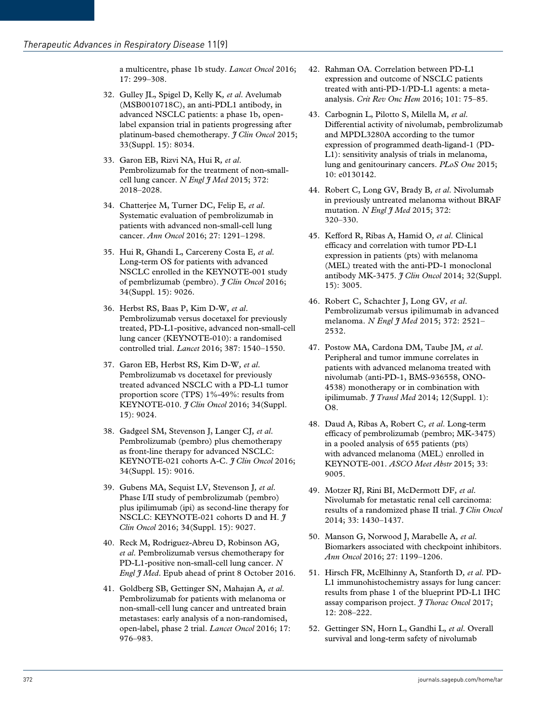a multicentre, phase 1b study. *Lancet Oncol* 2016; 17: 299–308.

- 32. Gulley JL, Spigel D, Kelly K*, et al*. Avelumab (MSB0010718C), an anti-PDL1 antibody, in advanced NSCLC patients: a phase 1b, openlabel expansion trial in patients progressing after platinum-based chemotherapy. *J Clin Oncol* 2015; 33(Suppl. 15): 8034.
- 33. Garon EB, Rizvi NA, Hui R*, et al*. Pembrolizumab for the treatment of non-smallcell lung cancer. *N Engl J Med* 2015; 372: 2018–2028.
- 34. Chatterjee M, Turner DC, Felip E*, et al*. Systematic evaluation of pembrolizumab in patients with advanced non-small-cell lung cancer. *Ann Oncol* 2016; 27: 1291–1298.
- 35. Hui R, Ghandi L, Carcereny Costa E*, et al*. Long-term OS for patients with advanced NSCLC enrolled in the KEYNOTE-001 study of pembrlizumab (pembro). *J Clin Oncol* 2016; 34(Suppl. 15): 9026.
- 36. Herbst RS, Baas P, Kim D-W*, et al*. Pembrolizumab versus docetaxel for previously treated, PD-L1-positive, advanced non-small-cell lung cancer (KEYNOTE-010): a randomised controlled trial. *Lancet* 2016; 387: 1540–1550.
- 37. Garon EB, Herbst RS, Kim D-W*, et al*. Pembrolizumab vs docetaxel for previously treated advanced NSCLC with a PD-L1 tumor proportion score (TPS) 1%-49%: results from KEYNOTE-010. *J Clin Oncol* 2016; 34(Suppl. 15): 9024.
- 38. Gadgeel SM, Stevenson J, Langer CJ*, et al*. Pembrolizumab (pembro) plus chemotherapy as front-line therapy for advanced NSCLC: KEYNOTE-021 cohorts A-C. *J Clin Oncol* 2016; 34(Suppl. 15): 9016.
- 39. Gubens MA, Sequist LV, Stevenson J*, et al*. Phase I/II study of pembrolizumab (pembro) plus ipilimumab (ipi) as second-line therapy for NSCLC: KEYNOTE-021 cohorts D and H. *J Clin Oncol* 2016; 34(Suppl. 15): 9027.
- 40. Reck M, Rodriguez-Abreu D, Robinson AG*, et al*. Pembrolizumab versus chemotherapy for PD-L1-positive non-small-cell lung cancer. *N Engl J Med*. Epub ahead of print 8 October 2016.
- 41. Goldberg SB, Gettinger SN, Mahajan A*, et al*. Pembrolizumab for patients with melanoma or non-small-cell lung cancer and untreated brain metastases: early analysis of a non-randomised, open-label, phase 2 trial. *Lancet Oncol* 2016; 17: 976–983.
- 42. Rahman OA. Correlation between PD-L1 expression and outcome of NSCLC patients treated with anti-PD-1/PD-L1 agents: a metaanalysis. *Crit Rev Onc Hem* 2016; 101: 75–85.
- 43. Carbognin L, Pilotto S, Milella M*, et al*. Differential activity of nivolumab, pembrolizumab and MPDL3280A according to the tumor expression of programmed death-ligand-1 (PD-L1): sensitivity analysis of trials in melanoma, lung and genitourinary cancers. *PLoS One* 2015; 10: e0130142.
- 44. Robert C, Long GV, Brady B*, et al*. Nivolumab in previously untreated melanoma without BRAF mutation. *N Engl J Med* 2015; 372: 320–330.
- 45. Kefford R, Ribas A, Hamid O*, et al*. Clinical efficacy and correlation with tumor PD-L1 expression in patients (pts) with melanoma (MEL) treated with the anti-PD-1 monoclonal antibody MK-3475. *J Clin Oncol* 2014; 32(Suppl. 15): 3005.
- 46. Robert C, Schachter J, Long GV*, et al*. Pembrolizumab versus ipilimumab in advanced melanoma. *N Engl J Med* 2015; 372: 2521– 2532.
- 47. Postow MA, Cardona DM, Taube JM*, et al*. Peripheral and tumor immune correlates in patients with advanced melanoma treated with nivolumab (anti-PD-1, BMS-936558, ONO-4538) monotherapy or in combination with ipilimumab. *J Transl Med* 2014; 12(Suppl. 1): O8.
- 48. Daud A, Ribas A, Robert C*, et al*. Long-term efficacy of pembrolizumab (pembro; MK-3475) in a pooled analysis of 655 patients (pts) with advanced melanoma (MEL) enrolled in KEYNOTE-001. *ASCO Meet Abstr* 2015; 33: 9005.
- 49. Motzer RJ, Rini BI, McDermott DF*, et al*. Nivolumab for metastatic renal cell carcinoma: results of a randomized phase II trial. *J Clin Oncol* 2014; 33: 1430–1437.
- 50. Manson G, Norwood J, Marabelle A*, et al*. Biomarkers associated with checkpoint inhibitors. *Ann Oncol* 2016; 27: 1199–1206.
- 51. Hirsch FR, McElhinny A, Stanforth D*, et al*. PD-L1 immunohistochemistry assays for lung cancer: results from phase 1 of the blueprint PD-L1 IHC assay comparison project. *J Thorac Oncol* 2017; 12: 208–222.
- 52. Gettinger SN, Horn L, Gandhi L*, et al*. Overall survival and long-term safety of nivolumab